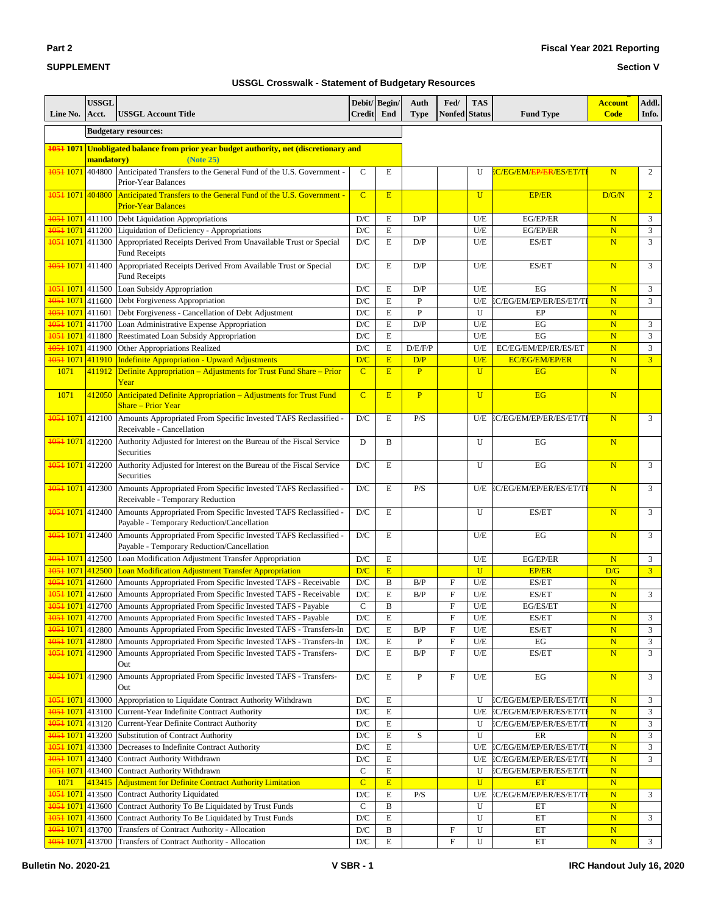#### **Section V**

| Line No.                                        | <b>USSGL</b><br>Acct. | <b>USSGL Account Title</b>                                                                                    | Debit/Begin/<br>Credit End |              | Auth<br><b>Type</b> | Fed/<br>Nonfed            | <b>TAS</b><br><b>Status</b> | <b>Fund Type</b>                          | <b>Account</b><br><b>Code</b> | Addl.<br>Info. |
|-------------------------------------------------|-----------------------|---------------------------------------------------------------------------------------------------------------|----------------------------|--------------|---------------------|---------------------------|-----------------------------|-------------------------------------------|-------------------------------|----------------|
|                                                 |                       | <b>Budgetary resources:</b>                                                                                   |                            |              |                     |                           |                             |                                           |                               |                |
|                                                 |                       |                                                                                                               |                            |              |                     |                           |                             |                                           |                               |                |
| 1051 1071                                       | mandatory)            | Unobligated balance from prior year budget authority, net (discretionary and<br>(Note 25)                     |                            |              |                     |                           |                             |                                           |                               |                |
| 1051 1071                                       |                       | 404800 Anticipated Transfers to the General Fund of the U.S. Government -<br>Prior-Year Balances              | $\mathsf{C}$               | E            |                     |                           | U                           | <b>EC/EG/EM/<del>EP/ER</del>/ES/ET/TI</b> | $\overline{\mathbf{N}}$       | 2              |
| <del>1051</del> 1071 404800                     |                       | Anticipated Transfers to the General Fund of the U.S. Government -<br><b>Prior-Year Balances</b>              | $\overline{C}$             | E            |                     |                           | U                           | <b>EP/ER</b>                              | D/G/N                         | $\overline{2}$ |
| 1051 1071 411100                                |                       | Debt Liquidation Appropriations                                                                               | D/C                        | E            | D/P                 |                           | U/E                         | EG/EP/ER                                  | $\overline{\mathbf{N}}$       | 3              |
| 1051 1071                                       | 411200                | Liquidation of Deficiency - Appropriations                                                                    | $\mathbf{D}/\mathbf{C}$    | E            |                     |                           | U/E                         | EG/EP/ER                                  | N                             | 3              |
| 1051 1071 411300                                |                       | Appropriated Receipts Derived From Unavailable Trust or Special<br><b>Fund Receipts</b>                       | $\mathbf{D}/\mathbf{C}$    | E            | D/P                 |                           | U/E                         | ES/ET                                     | $\overline{\mathbf{N}}$       | 3              |
| 1051 1071 411400                                |                       | Appropriated Receipts Derived From Available Trust or Special<br><b>Fund Receipts</b>                         | $\mathbf{D}/\mathbf{C}$    | E            | D/P                 |                           | U/E                         | ES/ET                                     | N                             | 3              |
| 1051 1071 411500                                |                       | Loan Subsidy Appropriation                                                                                    | D/C                        | E            | D/P                 |                           | U/E                         | EG                                        | $\overline{\mathbf{N}}$       | 3              |
| 1051 1071                                       | 411600                | Debt Forgiveness Appropriation                                                                                | D/C                        | E            | $\mathbf{P}$        |                           | U/E                         | <b>EC/EG/EM/EP/ER/ES/ET/TI</b>            | $\mathbf N$                   | 3              |
| 1051 1071 411601                                |                       | Debt Forgiveness - Cancellation of Debt Adjustment                                                            | $\mathbf{D}/\mathbf{C}$    | E            | P                   |                           | U                           | EP                                        | $\mathbf N$                   |                |
| 1051 1071 411700                                |                       | Loan Administrative Expense Appropriation                                                                     | D/C                        | E            | D/P                 |                           | U/E                         | EG                                        | $\overline{\mathbf{N}}$       | 3              |
| 1051 1071 411800                                |                       | Reestimated Loan Subsidy Appropriation                                                                        | D/C                        | E            |                     |                           | U/E                         | EG                                        | $\overline{\mathbf{N}}$       | 3              |
| 1051 1071 411900                                |                       | Other Appropriations Realized                                                                                 | D/C                        | E            | D/E/F/P             |                           | U/E                         | EC/EG/EM/EP/ER/ES/ET                      | $\overline{\mathbf{N}}$       | 3              |
|                                                 |                       | 1051 1071 411910   Indefinite Appropriation - Upward Adjustments                                              | D/C                        | E            | D/P                 |                           | U/E                         | <b>EC/EG/EM/EP/ER</b>                     | ${\bf N}$                     | $\overline{3}$ |
| 1071                                            | 411912                | Definite Appropriation - Adjustments for Trust Fund Share - Prior<br>Year                                     | $\overline{C}$             | E            | $\mathbf{P}$        |                           | $\overline{U}$              | <b>EG</b>                                 | N                             |                |
| 1071                                            | 412050                | Anticipated Definite Appropriation - Adjustments for Trust Fund<br><b>Share – Prior Year</b>                  | $\overline{C}$             | E            | $\mathbf{P}$        |                           | $\overline{U}$              | <b>EG</b>                                 | N                             |                |
| 1051 1071 412100                                |                       | Amounts Appropriated From Specific Invested TAFS Reclassified -<br>Receivable - Cancellation                  | D/C                        | E            | P/S                 |                           | U/E                         | EC/EG/EM/EP/ER/ES/ET/TI                   | N                             | 3              |
| 1051 1071 412200                                |                       | Authority Adjusted for Interest on the Bureau of the Fiscal Service<br>Securities                             | D                          | B            |                     |                           | U                           | EG                                        | $\mathbf N$                   |                |
| 1051 1071                                       | 412200                | Authority Adjusted for Interest on the Bureau of the Fiscal Service<br>Securities                             | D/C                        | E            |                     |                           | U                           | EG                                        | N                             | 3              |
| 4054 1071 412300                                |                       | Amounts Appropriated From Specific Invested TAFS Reclassified -<br>Receivable - Temporary Reduction           | $\mathbf{D}/\mathbf{C}$    | E            | P/S                 |                           | U/E                         | EC/EG/EM/EP/ER/ES/ET/TI                   | N                             | 3              |
| 1051 1071 412400                                |                       | Amounts Appropriated From Specific Invested TAFS Reclassified -<br>Payable - Temporary Reduction/Cancellation | $\mathbf{D}/\mathbf{C}$    | E            |                     |                           | U                           | ES/ET                                     | N                             | 3              |
| 1051 1071 412400                                |                       | Amounts Appropriated From Specific Invested TAFS Reclassified -<br>Payable - Temporary Reduction/Cancellation | $\mathbf{D}/\mathbf{C}$    | E            |                     |                           | U/E                         | EG                                        | $\mathbf N$                   | 3              |
| 1051 1071 412500                                |                       | Loan Modification Adjustment Transfer Appropriation                                                           | D/C                        | E            |                     |                           | U/E                         | EG/EP/ER                                  | $\overline{\mathbf{N}}$       | 3              |
| 1051 1071 412500                                |                       | Loan Modification Adjustment Transfer Appropriation                                                           | D/C                        | E            |                     |                           | $\mathbf U$                 | <b>EP/ER</b>                              | D/G                           | $\overline{3}$ |
| 4054 1071 412600                                |                       | Amounts Appropriated From Specific Invested TAFS - Receivable                                                 | $\mathbf{D}/\mathbf{C}$    | $\, {\bf B}$ | B/P                 | F                         | U/E                         | ES/ET                                     | $\overline{\mathbf{N}}$       |                |
| 1051 1071 412600                                |                       | Amounts Appropriated From Specific Invested TAFS - Receivable                                                 | D/C                        | E            | B/P                 | F                         | U/E                         | ES/ET                                     | $\overline{\mathbf{N}}$       | 3              |
| 1051 1071                                       | 412700                | Amounts Appropriated From Specific Invested TAFS - Payable                                                    | $\mathbf C$                | B            |                     | F                         | U/E                         | EG/ES/ET                                  | $\overline{\mathbf{N}}$       |                |
| 1051 1071 412700                                |                       | Amounts Appropriated From Specific Invested TAFS - Payable                                                    | D/C                        | E            |                     | ${\rm F}$                 | U/E                         | ES/ET                                     | $\mathbf N$                   | 3              |
| 1051 1071 412800                                |                       | Amounts Appropriated From Specific Invested TAFS - Transfers-In                                               | $\mathbf{D}/\mathbf{C}$    | ${\bf E}$    | B/P                 | F                         | U/E                         | ES/ET                                     | $\overline{\mathbf{N}}$       | 3              |
| 1051 1071 412800                                |                       | Amounts Appropriated From Specific Invested TAFS - Transfers-In                                               | $\mathbf{D}/\mathbf{C}$    | E            | $\, {\bf P}$        | $\boldsymbol{\mathrm{F}}$ | U/E                         | EG                                        | $\mathbf N$                   | 3              |
| 1051 1071 412900                                |                       | Amounts Appropriated From Specific Invested TAFS - Transfers-<br>Out                                          | D/C                        | E            | B/P                 | F                         | U/E                         | ES/ET                                     | N                             | 3              |
| 1051 1071 412900                                |                       | Amounts Appropriated From Specific Invested TAFS - Transfers-<br>Out                                          | D/C                        | E            | P                   | F                         | U/E                         | EG                                        | N                             | 3              |
|                                                 |                       | <b>1051 1071</b> 413000 Appropriation to Liquidate Contract Authority Withdrawn                               | D/C                        | Ε            |                     |                           | U                           | EC/EG/EM/EP/ER/ES/ET/TI                   | $\mathbf N$                   | 3              |
| 1051 1071 413100                                |                       | Current-Year Indefinite Contract Authority                                                                    | D/C                        | E            |                     |                           | U/E                         | EC/EG/EM/EP/ER/ES/ET/TI                   | $\mathbf N$                   | 3              |
|                                                 |                       | 1051 1071 413120 Current-Year Definite Contract Authority                                                     | D/C                        | E            |                     |                           | U                           | EC/EG/EM/EP/ER/ES/ET/TI                   | $\mathbf N$                   | 3              |
|                                                 |                       | 1051 1071 413200 Substitution of Contract Authority                                                           | $\mathbf{D}/\mathbf{C}$    | E            | S                   |                           | U                           | ER                                        | $\mathbf N$                   | 3              |
| 1051 1071 413300                                |                       | Decreases to Indefinite Contract Authority                                                                    | D/C                        | E            |                     |                           | U/E                         | EC/EG/EM/EP/ER/ES/ET/TI                   | ${\bf N}$                     | 3              |
| 1051 1071 413400                                |                       | Contract Authority Withdrawn                                                                                  | $\mathbf{D}/\mathbf{C}$    | Е            |                     |                           | U/E                         | EC/EG/EM/EP/ER/ES/ET/TI                   | $\mathbf N$                   | 3              |
| <b>4054 1071</b> 413400                         |                       | Contract Authority Withdrawn                                                                                  | $\mathbf C$                | E            |                     |                           | U                           | EC/EG/EM/EP/ER/ES/ET/TI                   | $\mathbf N$                   |                |
| 1071                                            |                       | 413415 Adjustment for Definite Contract Authority Limitation                                                  | $\mathbf C$                | E            |                     |                           | $\mathbf U$                 | <b>ET</b>                                 | ${\bf N}$                     |                |
| 4054 1071 413500                                |                       | <b>Contract Authority Liquidated</b>                                                                          | $\mathbf{D}/\mathbf{C}$    | E            | P/S                 |                           | U/E                         | C/EG/EM/EP/ER/ES/ET/TI                    | $\mathbf N$                   | 3              |
| 1051 1071 413600                                |                       | Contract Authority To Be Liquidated by Trust Funds                                                            | $\mathbf C$                | B            |                     |                           | U                           | ET                                        | ${\bf N}$                     |                |
| 1051 1071 413600                                |                       | Contract Authority To Be Liquidated by Trust Funds                                                            | $\mathbf{D}/\mathbf{C}$    | E            |                     |                           | U                           | ET                                        | ${\bf N}$                     | 3              |
| 1051 1071 413700<br><del>1051</del> 1071 413700 |                       | Transfers of Contract Authority - Allocation<br>Transfers of Contract Authority - Allocation                  | D/C<br>D/C                 | B<br>Е       |                     | F<br>F                    | U<br>U                      | ЕT<br>ET                                  | $\mathbf N$<br>$\mathbf N$    | $\mathfrak{Z}$ |
|                                                 |                       |                                                                                                               |                            |              |                     |                           |                             |                                           |                               |                |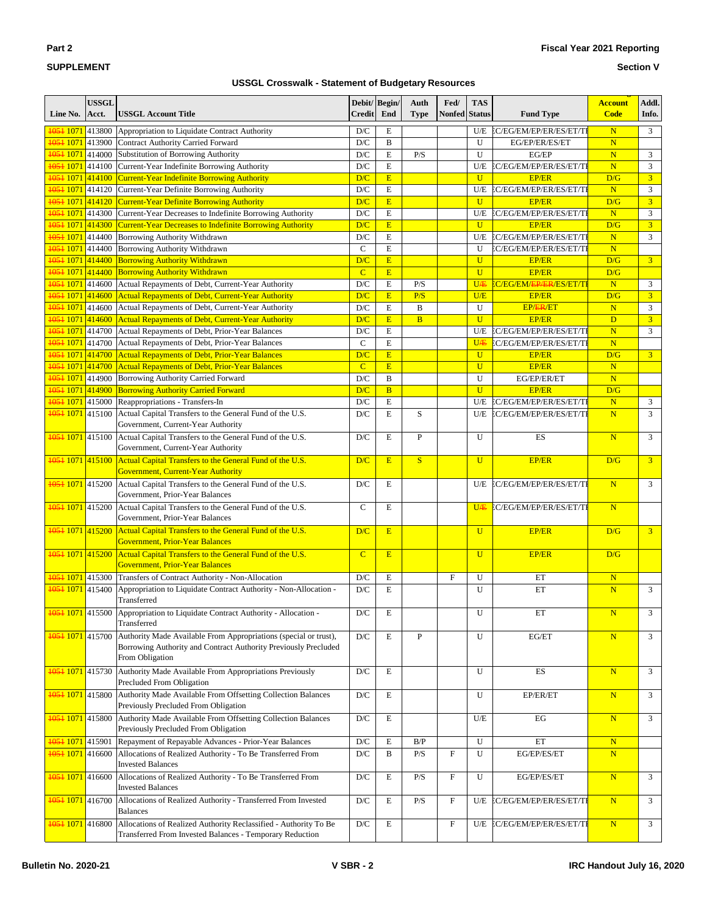#### **Section V**

| Line No.                      | <b>USSGL</b><br>Acct. | <b>USSGL Account Title</b>                                                                                                                             | Debit/ Begin/<br><b>Credit</b> | End          | Auth<br><b>Type</b> | Fed/<br><b>Nonfed</b> | <b>TAS</b><br><b>Status</b> | <b>Fund Type</b>                     | <b>Account</b><br><b>Code</b> | Addl.<br>Info. |
|-------------------------------|-----------------------|--------------------------------------------------------------------------------------------------------------------------------------------------------|--------------------------------|--------------|---------------------|-----------------------|-----------------------------|--------------------------------------|-------------------------------|----------------|
| 1051 1071 413800              |                       | Appropriation to Liquidate Contract Authority                                                                                                          | D/C                            | $\mathbf E$  |                     |                       | U/E                         | EC/EG/EM/EP/ER/ES/ET/TI              | $\overline{\mathbf{N}}$       | 3              |
| 1051 1071 413900              |                       | <b>Contract Authority Carried Forward</b>                                                                                                              | D/C                            | B            |                     |                       | U                           | EG/EP/ER/ES/ET                       | N                             |                |
| 1051 1071 414000              |                       | Substitution of Borrowing Authority                                                                                                                    | D/C                            | E            | P/S                 |                       | U                           | EG/EP                                | $\overline{\mathbf{N}}$       | 3              |
| 1051 1071 414100              |                       | Current-Year Indefinite Borrowing Authority                                                                                                            | D/C                            | $\mathbf E$  |                     |                       | U/E                         | EC/EG/EM/EP/ER/ES/ET/TI              | $\overline{\mathbf{N}}$       | 3              |
|                               |                       | <b>1051 1071 414100 Current-Year Indefinite Borrowing Authority</b>                                                                                    | D/C                            | E            |                     |                       | $\mathbf{U}$                | <b>EP/ER</b>                         | D/G                           | $\overline{3}$ |
| 1051 1071 414120              |                       | Current-Year Definite Borrowing Authority                                                                                                              | D/C                            | E            |                     |                       | U/E                         | EC/EG/EM/EP/ER/ES/ET/TI              | $\overline{\mathbf{N}}$       | 3              |
| 1051 1071 414120              |                       | <b>Current-Year Definite Borrowing Authority</b>                                                                                                       | D/C                            | E            |                     |                       | $\mathbf{U}$                | <b>EP/ER</b>                         | D/G                           | $\overline{3}$ |
| 1051 1071 414300              |                       | Current-Year Decreases to Indefinite Borrowing Authority                                                                                               | D/C                            | $\mathbf E$  |                     |                       | U/E                         | EC/EG/EM/EP/ER/ES/ET/TI              | $\overline{\mathbf{N}}$       | 3              |
| 1051 1071 414300              |                       | <b>Current-Year Decreases to Indefinite Borrowing Authority</b>                                                                                        | D/C                            | E            |                     |                       | $\mathbf{U}$                | <b>EP/ER</b>                         | D/G                           | $\overline{3}$ |
| 1051 1071 414400              |                       | Borrowing Authority Withdrawn                                                                                                                          | D/C                            | E            |                     |                       | U/E                         | EC/EG/EM/EP/ER/ES/ET/TI              | N                             | 3              |
| 1051 1071 414400              |                       | Borrowing Authority Withdrawn                                                                                                                          | $\mathbf C$                    | E            |                     |                       | U                           | EC/EG/EM/EP/ER/ES/ET/TI              | N                             |                |
| 1051 1071 414400              |                       | <b>Borrowing Authority Withdrawn</b>                                                                                                                   | D/C                            | E            |                     |                       | $\overline{U}$              | <b>EP/ER</b>                         | D/G                           | $\overline{3}$ |
| 1051 1071 414400              |                       | <b>Borrowing Authority Withdrawn</b>                                                                                                                   | $\overline{C}$                 | E            |                     |                       | $\mathbf{U}$                | <b>EP/ER</b>                         | D/G                           |                |
| 1051 1071 414600              |                       | Actual Repayments of Debt, Current-Year Authority                                                                                                      | D/C                            | $\mathbf E$  | P/S                 |                       | UÆ                          | EC/EG/EM/ <del>EP/ER</del> /ES/ET/TI | $\overline{\mathbf{N}}$       | 3              |
| 1051 1071 414600              |                       | Actual Repayments of Debt, Current-Year Authority                                                                                                      | D/C                            | E            | P/S                 |                       | U/E                         | <b>EP/ER</b>                         | D/G                           | $\overline{3}$ |
| 1051 1071 414600              |                       | Actual Repayments of Debt, Current-Year Authority                                                                                                      | D/C                            | E            | B                   |                       | U                           | EP/ER/ET                             | $\overline{\mathbf{N}}$       | 3              |
| <del>1051</del> 1071 414600   |                       | <b>Actual Repayments of Debt, Current-Year Authority</b>                                                                                               | D/C                            | E            | $\overline{B}$      |                       | $\overline{U}$              | <b>EP/ER</b>                         | D                             | $\overline{3}$ |
| 1051 1071 414700              |                       | Actual Repayments of Debt, Prior-Year Balances                                                                                                         | $\mathbf{D}/\mathbf{C}$        | E            |                     |                       | U/E                         | EC/EG/EM/EP/ER/ES/ET/TI              | $\overline{\mathbf{N}}$       | 3              |
| 1051 1071 414700              |                       | Actual Repayments of Debt, Prior-Year Balances                                                                                                         | $\mathcal{C}$                  | E            |                     |                       | U <sub>Æ</sub>              | EC/EG/EM/EP/ER/ES/ET/TI              | $\overline{\mathbf{N}}$       |                |
| 1051 1071 414700              |                       | Actual Repayments of Debt, Prior-Year Balances                                                                                                         | D/C                            | E            |                     |                       | $\overline{U}$              | <b>EP/ER</b>                         | D/G                           | 3 <sup>1</sup> |
|                               |                       | <b>1051 1071 414700 Actual Repayments of Debt, Prior-Year Balances</b>                                                                                 | $\overline{C}$                 | E            |                     |                       | $\mathbf{U}$                | <b>EP/ER</b>                         | $\overline{\mathbf{N}}$       |                |
| 1051 1071 414900              |                       | Borrowing Authority Carried Forward                                                                                                                    | D/C                            | B            |                     |                       | U                           | EG/EP/ER/ET                          | N                             |                |
| 1051 1071 414900              |                       | <b>Borrowing Authority Carried Forward</b>                                                                                                             | D/C                            | <sub>B</sub> |                     |                       | $\mathbf{U}$                | <b>EP/ER</b>                         | D/G                           |                |
| 1051 1071 415000              |                       | Reappropriations - Transfers-In                                                                                                                        | D/C                            | $\mathbf E$  |                     |                       | U/E                         | EC/EG/EM/EP/ER/ES/ET/TI              | $\overline{\mathbf{N}}$       | $\mathfrak{Z}$ |
| 1051 1071 415100              |                       | Actual Capital Transfers to the General Fund of the U.S.<br>Government, Current-Year Authority                                                         | D/C                            | E            | S                   |                       | U/E                         | EC/EG/EM/EP/ER/ES/ET/TI              | N                             | 3              |
| 1051 1071 415100              |                       | Actual Capital Transfers to the General Fund of the U.S.<br>Government, Current-Year Authority                                                         | D/C                            | E            | P                   |                       | U                           | ES                                   | N                             | 3              |
| <del>1051</del> 1071 415100   |                       | Actual Capital Transfers to the General Fund of the U.S.<br><b>Government, Current-Year Authority</b>                                                  | D/C                            | E            | S                   |                       | $\overline{U}$              | <b>EP/ER</b>                         | D/G                           | $\overline{3}$ |
| 1051 1071 415200              |                       | Actual Capital Transfers to the General Fund of the U.S.<br>Government, Prior-Year Balances                                                            | D/C                            | E            |                     |                       | U/E                         | EC/EG/EM/EP/ER/ES/ET/TI              | N                             | 3              |
| 1051 1071 415200              |                       | Actual Capital Transfers to the General Fund of the U.S.<br>Government, Prior-Year Balances                                                            | $\mathsf{C}$                   | E            |                     |                       | U <sub>Æ</sub>              | EC/EG/EM/EP/ER/ES/ET/TI              | N                             |                |
| <del>1051</del> 1071 415200   |                       | Actual Capital Transfers to the General Fund of the U.S.<br><b>Government, Prior-Year Balances</b>                                                     | D/C                            | E            |                     |                       | $\overline{U}$              | <b>EP/ER</b>                         | D/G                           | $\overline{3}$ |
| 1051 1071 415200              |                       | Actual Capital Transfers to the General Fund of the U.S.<br><b>Government, Prior-Year Balances</b>                                                     | $\overline{C}$                 | E            |                     |                       | $\overline{U}$              | <b>EP/ER</b>                         | D/G                           |                |
| 1051 1071 415300              |                       | Transfers of Contract Authority - Non-Allocation                                                                                                       | D/C                            | E            |                     | $\mathbf F$           | U                           | ET                                   | $\mathbf N$                   |                |
| 1051 1071 415400              |                       | Appropriation to Liquidate Contract Authority - Non-Allocation -<br>Transferred                                                                        | $D/C$                          | E            |                     |                       | U                           | ET                                   | N                             | 3              |
|                               |                       | 1051 1071 415500 Appropriation to Liquidate Contract Authority - Allocation -<br>Transferred                                                           | D/C                            | Ε            |                     |                       | U                           | ET                                   | $\mathbf N$                   | 3              |
| 1051 1071 415700              |                       | Authority Made Available From Appropriations (special or trust),<br>Borrowing Authority and Contract Authority Previously Precluded<br>From Obligation | $\mathbf{D}/\mathbf{C}$        | E            | ${\bf P}$           |                       | U                           | EG/ET                                | N                             | 3              |
| 1051 1071 415730              |                       | Authority Made Available From Appropriations Previously<br>Precluded From Obligation                                                                   | $\mathbf{D}/\mathbf{C}$        | E            |                     |                       | U                           | ES                                   | N                             | 3              |
| <del>1051</del> 1071 415800   |                       | Authority Made Available From Offsetting Collection Balances<br>Previously Precluded From Obligation                                                   | D/C                            | E            |                     |                       | U                           | EP/ER/ET                             | N                             | 3              |
| 1051 1071 415800              |                       | Authority Made Available From Offsetting Collection Balances<br>Previously Precluded From Obligation                                                   | $\mathbf{D}/\mathbf{C}$        | E            |                     |                       | U/E                         | EG                                   | $\overline{\mathbf{N}}$       | 3              |
| <mark>1051 1071</mark> 415901 |                       | Repayment of Repayable Advances - Prior-Year Balances                                                                                                  | $\mathbf{D}/\mathbf{C}$        | E            | B/P                 |                       | U                           | ET                                   | N                             |                |
| 1051 1071 416600              |                       | Allocations of Realized Authority - To Be Transferred From<br><b>Invested Balances</b>                                                                 | $\mathbf{D}/\mathbf{C}$        | B            | P/S                 | F                     | U                           | EG/EP/ES/ET                          | $\overline{\mathbf{N}}$       |                |
| 1051 1071 416600              |                       | Allocations of Realized Authority - To Be Transferred From<br><b>Invested Balances</b>                                                                 | $\mathbf{D}/\mathbf{C}$        | E            | P/S                 | F                     | U                           | EG/EP/ES/ET                          | $\overline{\mathbf{N}}$       | 3              |
| 1051 1071 416700              |                       | Allocations of Realized Authority - Transferred From Invested<br><b>Balances</b>                                                                       | $\mathbf{D}/\mathbf{C}$        | E            | P/S                 | F                     | U/E                         | EC/EG/EM/EP/ER/ES/ET/TI              | N                             | 3              |
| <del>1051</del> 1071 416800   |                       | Allocations of Realized Authority Reclassified - Authority To Be<br>Transferred From Invested Balances - Temporary Reduction                           | $\mathbf{D}/\mathbf{C}$        | E            |                     | F                     | U/E                         | EC/EG/EM/EP/ER/ES/ET/TI              | N                             | 3              |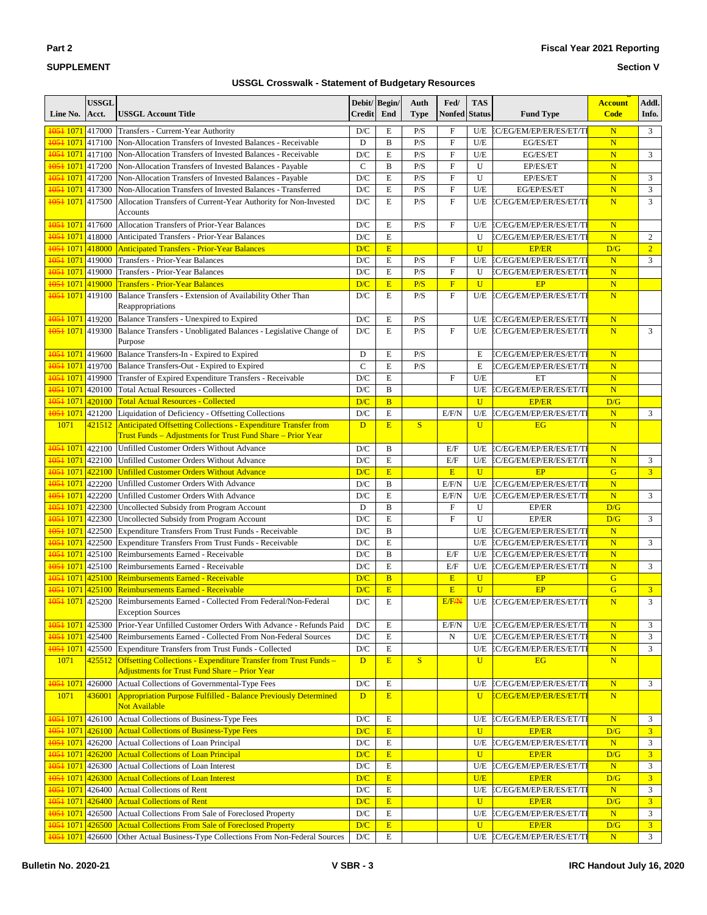| $\sim$<br>٠ |  |
|-------------|--|
|-------------|--|

#### **Section V**

| Line No.                                        | <b>USSGL</b><br>Acct. | <b>USSGL Account Title</b>                                                                                                           | Debit/ Begin/<br><b>Credit</b> | End            | Auth<br><b>Type</b> | Fed/<br>Nonfed            | <b>TAS</b><br><b>Status</b> | <b>Fund Type</b>                        | <b>Account</b><br><b>Code</b> | Addl.<br>Info.      |
|-------------------------------------------------|-----------------------|--------------------------------------------------------------------------------------------------------------------------------------|--------------------------------|----------------|---------------------|---------------------------|-----------------------------|-----------------------------------------|-------------------------------|---------------------|
| 1051 1071 417000                                |                       | Transfers - Current-Year Authority                                                                                                   | D/C                            | E              | P/S                 | $\boldsymbol{\mathrm{F}}$ | U/E                         | EC/EG/EM/EP/ER/ES/ET/TI                 | $\mathbf N$                   | 3                   |
| 1051 1071 417100                                |                       | Non-Allocation Transfers of Invested Balances - Receivable                                                                           | D                              | $\bf{B}$       | P/S                 | $\mathbf F$               | U/E                         | EG/ES/ET                                | N                             |                     |
| 1051 1071 417100                                |                       | Non-Allocation Transfers of Invested Balances - Receivable                                                                           | D/C                            | E              | P/S                 | $\mathbf{F}$              | U/E                         | EG/ES/ET                                | $\mathbf N$                   | 3                   |
| 1051 1071 417200                                |                       | Non-Allocation Transfers of Invested Balances - Payable                                                                              | $\mathbf C$                    | $\overline{B}$ | P/S                 | $\overline{F}$            | U                           | EP/ES/ET                                | N                             |                     |
| 1051 1071 417200                                |                       | Non-Allocation Transfers of Invested Balances - Payable                                                                              | D/C                            | E              | P/S                 | $\boldsymbol{\mathrm{F}}$ | U                           | EP/ES/ET                                | N                             | 3                   |
| 1051 1071 417300                                |                       | Non-Allocation Transfers of Invested Balances - Transferred                                                                          | $\mathbf{D}/\mathbf{C}$        | E              | P/S                 | $\mathbf{F}$              | U/E                         | EG/EP/ES/ET                             | $\overline{\mathbf{N}}$       | 3                   |
| 1051 1071 417500                                |                       | Allocation Transfers of Current-Year Authority for Non-Invested<br><b>Accounts</b>                                                   | D/C                            | $\mathbf E$    | P/S                 | $\mathbf{F}$              | U/E                         | EC/EG/EM/EP/ER/ES/ET/TI                 | N                             | 3                   |
| 1051 1071 417600                                |                       | Allocation Transfers of Prior-Year Balances                                                                                          | D/C                            | E              | P/S                 | $\mathbf F$               | U/E                         | EC/EG/EM/EP/ER/ES/ET/TI                 | $\mathbf N$                   |                     |
| 1051 1071 418000                                |                       | Anticipated Transfers - Prior-Year Balances                                                                                          | D/C                            | E              |                     |                           | U                           | EC/EG/EM/EP/ER/ES/ET/TI                 | $\mathbf N$                   | 2                   |
| 1051 1071 418000                                |                       | <b>Anticipated Transfers - Prior-Year Balances</b>                                                                                   | D/C                            | E              |                     |                           | $\overline{U}$              | <b>EP/ER</b>                            | D/G                           | $\overline{2}$      |
| 1051 1071 419000                                |                       | Transfers - Prior-Year Balances                                                                                                      | $\mathbf{D}/\mathbf{C}$        | E              | P/S                 | $\mathbf F$               | U/E                         | EC/EG/EM/EP/ER/ES/ET/TI                 | N                             | 3                   |
| 1051 1071 419000                                |                       | <b>Transfers - Prior-Year Balances</b>                                                                                               | D/C                            | E              | P/S                 | $\mathbf{F}$              | U                           | EC/EG/EM/EP/ER/ES/ET/TI                 | $\mathbf N$                   |                     |
| 1051 1071 419000                                |                       | <b>Transfers - Prior-Year Balances</b>                                                                                               | D/C                            | $\mathbf E$    | P/S                 | $\overline{F}$            | $\overline{U}$              | EP                                      | $\overline{\mathbf{N}}$       |                     |
| 1051 1071 419100                                |                       | Balance Transfers - Extension of Availability Other Than<br>Reappropriations                                                         | D/C                            | E              | P/S                 | $\mathbf{F}$              | U/E                         | EC/EG/EM/EP/ER/ES/ET/TI                 | N                             |                     |
| 1051 1071 419200                                |                       | Balance Transfers - Unexpired to Expired                                                                                             | D/C                            | E              | P/S                 |                           | U/E                         | EC/EG/EM/EP/ER/ES/ET/TI                 | $\mathbf N$                   |                     |
| 1051 1071 419300                                |                       | Balance Transfers - Unobligated Balances - Legislative Change of                                                                     | D/C                            | E              | P/S                 | $\mathbf{F}$              | U/E                         | EC/EG/EM/EP/ER/ES/ET/TI                 | N                             | 3                   |
|                                                 |                       | Purpose                                                                                                                              |                                |                |                     |                           |                             |                                         |                               |                     |
| 1051 1071 419600                                |                       | Balance Transfers-In - Expired to Expired                                                                                            | D                              | E              | P/S                 |                           | E                           | EC/EG/EM/EP/ER/ES/ET/TI                 | $\mathbf N$                   |                     |
| <del>1051</del> 1071 419700                     |                       | Balance Transfers-Out - Expired to Expired                                                                                           | $\mathbf C$                    | E              | P/S                 |                           | E                           | EC/EG/EM/EP/ER/ES/ET/TI                 | $\overline{\mathbf{N}}$       |                     |
| 1051 1071 419900                                |                       | Transfer of Expired Expenditure Transfers - Receivable                                                                               | $\mathbf{D}/\mathbf{C}$        | E              |                     | $\mathbf F$               | U/E                         | ET                                      | $\overline{\mathbf{N}}$       |                     |
| 1051 1071 420100                                |                       | <b>Total Actual Resources - Collected</b>                                                                                            | D/C                            | $\bf{B}$       |                     |                           | U/E                         | EC/EG/EM/EP/ER/ES/ET/TI                 | $\overline{\mathbf{N}}$       |                     |
| 1051 1071 420100                                |                       | <b>Total Actual Resources - Collected</b>                                                                                            | D/C                            | $\overline{B}$ |                     |                           | $\overline{U}$              | <b>EP/ER</b>                            | D/G                           |                     |
| 1051 1071 421200                                |                       | Liquidation of Deficiency - Offsetting Collections                                                                                   | $\mathbf{D}/\mathbf{C}$        | $\mathbf E$    |                     | E/F/N                     | U/E                         | EC/EG/EM/EP/ER/ES/ET/TI                 | $\mathbf N$                   | 3                   |
| 1071                                            | 421512                | <b>Anticipated Offsetting Collections - Expenditure Transfer from</b><br>Trust Funds - Adjustments for Trust Fund Share - Prior Year | D                              | E              | S                   |                           | $\mathbf{U}$                | <b>EG</b>                               | $\mathbf N$                   |                     |
| 1051 1071 422100                                |                       | Unfilled Customer Orders Without Advance                                                                                             | D/C                            | B              |                     | E/F                       | U/E                         | EC/EG/EM/EP/ER/ES/ET/TI                 | N                             |                     |
| 1051 1071 422100                                |                       | Unfilled Customer Orders Without Advance                                                                                             | D/C                            | E              |                     | E/F                       | U/E                         | EC/EG/EM/EP/ER/ES/ET/TI                 | $\mathbf N$                   | 3                   |
| 1051 1071 422100                                |                       | <b>Unfilled Customer Orders Without Advance</b>                                                                                      | D/C                            | E              |                     | E                         | $\mathbf U$                 | EP                                      | G                             | $\overline{3}$      |
| 1051 1071 422200                                |                       | Unfilled Customer Orders With Advance                                                                                                | D/C                            | $\bf{B}$       |                     | E/F/N                     | U/E                         | EC/EG/EM/EP/ER/ES/ET/TI                 | $\overline{\mathbf{N}}$       |                     |
| 1051 1071 422200                                |                       | Unfilled Customer Orders With Advance                                                                                                | D/C                            | E              |                     | E/F/N                     | U/E                         | EC/EG/EM/EP/ER/ES/ET/TI                 | N                             | 3                   |
| 1051 1071 422300                                |                       | Uncollected Subsidy from Program Account                                                                                             | D                              | $\bf{B}$       |                     | $\mathbf{F}$              | U                           | EP/ER                                   | D/G                           |                     |
| 1051 1071 422300                                |                       | Uncollected Subsidy from Program Account                                                                                             | D/C                            | E              |                     | $\mathbf{F}$              | U                           | EP/ER                                   | D/G                           | 3                   |
| 1051 1071 422500                                |                       | Expenditure Transfers From Trust Funds - Receivable                                                                                  | $\mathbf{D}/\mathbf{C}$        | $\mathbf B$    |                     |                           | U/E                         | EC/EG/EM/EP/ER/ES/ET/TI                 | $\overline{\mathbf{N}}$       |                     |
| 1051 1071 422500                                |                       | Expenditure Transfers From Trust Funds - Receivable                                                                                  | D/C                            | E              |                     |                           | U/E                         | EC/EG/EM/EP/ER/ES/ET/TI                 | $\mathbf N$                   | 3                   |
| 1051 1071 425100                                |                       | Reimbursements Earned - Receivable                                                                                                   | D/C                            | $\, {\bf B}$   |                     | E/F                       | U/E                         | EC/EG/EM/EP/ER/ES/ET/TI                 | $\overline{\mathbf{N}}$       |                     |
| 1051 1071 425100                                |                       | Reimbursements Earned - Receivable                                                                                                   | D/C                            | E              |                     | E/F                       | U/E                         | EC/EG/EM/EP/ER/ES/ET/TI                 | N                             | 3                   |
| <del>1051</del> 1071                            | 425100                | <b>Reimbursements Earned - Receivable</b>                                                                                            | D/C                            | B              |                     | E                         | $\mathbf{U}$                | EP                                      | G                             |                     |
| 1051 1071                                       | 425100                | <b>Reimbursements Earned - Receivable</b>                                                                                            | D/C                            | E              |                     | E                         | $\overline{U}$              | EP                                      | G                             | $\overline{3}$      |
| 1051 1071 425200                                |                       | Reimbursements Earned - Collected From Federal/Non-Federal<br><b>Exception Sources</b>                                               | D/C                            | E              |                     | E/F <sub>/</sub> N        | U/E                         | EC/EG/EM/EP/ER/ES/ET/TI                 | N                             | 3                   |
| 4054 1071 425300                                |                       | Prior-Year Unfilled Customer Orders With Advance - Refunds Paid                                                                      | D/C                            | E              |                     | E/F/N                     | U/E                         | EC/EG/EM/EP/ER/ES/ET/TI                 | $\mathbf N$                   | 3                   |
| 1051 1071 425400                                |                       | Reimbursements Earned - Collected From Non-Federal Sources                                                                           | $\mathbf{D}/\mathbf{C}$        | ${\bf E}$      |                     | N                         | U/E                         | EC/EG/EM/EP/ER/ES/ET/TI                 | ${\bf N}$                     | 3                   |
| 1051 1071 425500                                |                       | <b>Expenditure Transfers from Trust Funds - Collected</b>                                                                            | $\mathbf{D}/\mathbf{C}$        | ${\bf E}$      |                     |                           | U/E                         | EC/EG/EM/EP/ER/ES/ET/TI                 | ${\bf N}$                     | 3                   |
| 1071                                            | 425512                | <b>Offsetting Collections - Expenditure Transfer from Trust Funds -</b><br><b>Adjustments for Trust Fund Share - Prior Year</b>      | D                              | E              | S                   |                           | $\mathbf{U}$                | <b>EG</b>                               | N                             |                     |
| 1051 1071 426000                                |                       | Actual Collections of Governmental-Type Fees                                                                                         | D/C                            | $\mathbf E$    |                     |                           | U/E                         | EC/EG/EM/EP/ER/ES/ET/TI                 | $\overline{\mathbf{N}}$       | 3                   |
| 1071                                            | 436001                | <b>Appropriation Purpose Fulfilled - Balance Previously Determined</b>                                                               | D                              | E              |                     |                           | $\mathbf U$                 | <u>C/EG/EM/EP/ER/ES/ET/TI</u>           | N                             |                     |
|                                                 |                       | Not Available                                                                                                                        |                                |                |                     |                           |                             |                                         |                               |                     |
| 1051 1071 426100<br><del>1051</del> 1071 426100 |                       | Actual Collections of Business-Type Fees<br><b>Actual Collections of Business-Type Fees</b>                                          | D/C<br>D/C                     | E<br>E         |                     |                           | U/E<br>$\mathbf{U}$         | EC/EG/EM/EP/ER/ES/ET/TI                 | ${\bf N}$<br>D/G              | 3<br>$\overline{3}$ |
| 1051 1071 426200                                |                       | Actual Collections of Loan Principal                                                                                                 | D/C                            | E              |                     |                           | U/E                         | <b>EP/ER</b><br>EC/EG/EM/EP/ER/ES/ET/TI | $\mathbf N$                   | 3                   |
| 1051 1071 426200                                |                       | <b>Actual Collections of Loan Principal</b>                                                                                          | D/C                            | $\mathbf E$    |                     |                           | $\mathbf{U}$                | <b>EP/ER</b>                            | D/G                           | 3                   |
|                                                 |                       | 1051 1071 426300 Actual Collections of Loan Interest                                                                                 | D/C                            | E              |                     |                           | U/E                         | EC/EG/EM/EP/ER/ES/ET/TI                 | N                             | 3                   |
| 1051 1071 426300                                |                       | <b>Actual Collections of Loan Interest</b>                                                                                           | D/C                            | E              |                     |                           | U/E                         | <b>EP/ER</b>                            | D/G                           | 3 <sup>1</sup>      |
| 1051 1071 426400                                |                       | Actual Collections of Rent                                                                                                           | D/C                            | $\mathbf E$    |                     |                           | U/E                         | EC/EG/EM/EP/ER/ES/ET/TI                 | $\mathbf N$                   | 3                   |
| 1051 1071 426400                                |                       | <b>Actual Collections of Rent</b>                                                                                                    | D/C                            | E              |                     |                           | $\mathbf{U}$                | <b>EP/ER</b>                            | D/G                           | $\overline{3}$      |
| 1051 1071 426500                                |                       | Actual Collections From Sale of Foreclosed Property                                                                                  | $\mathbf{D}/\mathbf{C}$        | E              |                     |                           | U/E                         | EC/EG/EM/EP/ER/ES/ET/TI                 | $\mathbf N$                   | 3                   |
| 1051 1071 426500                                |                       | <b>Actual Collections From Sale of Foreclosed Property</b>                                                                           | D/C                            | E              |                     |                           | $\mathbf{U}$                | <b>EP/ER</b>                            | D/G                           | 3 <sup>1</sup>      |
| 1051 1071 426600                                |                       | Other Actual Business-Type Collections From Non-Federal Sources                                                                      | $\mathbf{D}/\mathbf{C}$        | $\mathbf E$    |                     |                           | U/E                         | EC/EG/EM/EP/ER/ES/ET/TI                 | N                             | 3 <sup>7</sup>      |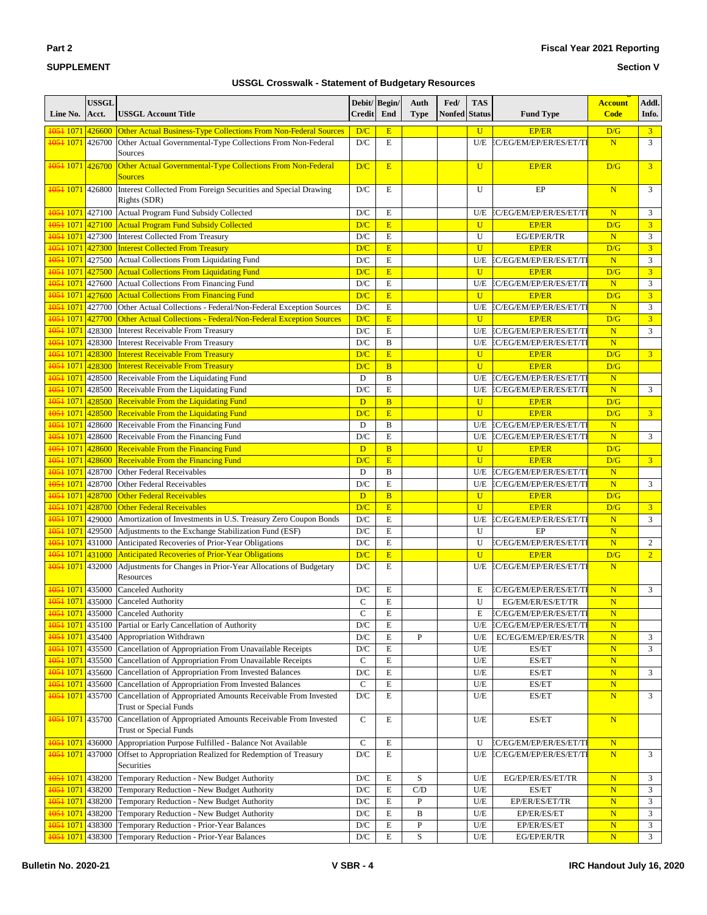#### **Section V**

| Line No.                      | <b>USSGL</b><br>Acct. | <b>USSGL Account Title</b>                                                                     | Debit/Begin/<br><b>Credit</b> | End            | Auth<br><b>Type</b> | Fed/<br><b>Nonfed</b> | <b>TAS</b><br><b>Status</b> | <b>Fund Type</b>        | <b>Account</b><br><b>Code</b> | Addl.<br>Info.   |
|-------------------------------|-----------------------|------------------------------------------------------------------------------------------------|-------------------------------|----------------|---------------------|-----------------------|-----------------------------|-------------------------|-------------------------------|------------------|
| <del>1051</del> 1071 426600   |                       | Other Actual Business-Type Collections From Non-Federal Sources                                | D/C                           | E              |                     |                       | $\overline{U}$              | <b>EP/ER</b>            | D/G                           | $\overline{3}$   |
| 1051 1071 426700              |                       | Other Actual Governmental-Type Collections From Non-Federal                                    | D/C                           | $\mathbf E$    |                     |                       | U/E                         | EC/EG/EM/EP/ER/ES/ET/TI | N                             | 3                |
|                               |                       | Sources                                                                                        |                               |                |                     |                       |                             |                         |                               |                  |
| <del>1051</del> 1071 426700   |                       | Other Actual Governmental-Type Collections From Non-Federal<br><b>Sources</b>                  | D/C                           | E              |                     |                       | U                           | <b>EP/ER</b>            | D/G                           | $\overline{3}$   |
| 1051 1071 426800              |                       | Interest Collected From Foreign Securities and Special Drawing<br>Rights (SDR)                 | D/C                           | E              |                     |                       | U                           | EP                      | $\overline{\mathbf{N}}$       | 3                |
| 1051 1071 427100              |                       | Actual Program Fund Subsidy Collected                                                          | D/C                           | E              |                     |                       | U/E                         | EC/EG/EM/EP/ER/ES/ET/TI | $\overline{\mathbf{N}}$       | 3                |
| <del>1051</del> 1071 427100   |                       | Actual Program Fund Subsidy Collected                                                          | D/C                           | E              |                     |                       | U                           | <b>EP/ER</b>            | D/G                           | $\overline{3}$   |
| 1051 1071 427300              |                       | Interest Collected From Treasury                                                               | $\mathbf{D}/\mathbf{C}$       | $\mathbf E$    |                     |                       | U                           | EG/EP/ER/TR             | $\overline{\mathbf{N}}$       | 3                |
| <del>1051</del> 1071 427300   |                       | <b>Interest Collected From Treasury</b>                                                        | D/C                           | E              |                     |                       | $\mathbf{U}$                | <b>EP/ER</b>            | D/G                           | $\overline{3}$   |
| 1051 1071 427500              |                       | Actual Collections From Liquidating Fund                                                       | D/C                           | E              |                     |                       | U/E                         | EC/EG/EM/EP/ER/ES/ET/TI | $\overline{\mathbf{N}}$       | 3                |
| <mark>1051 1071 427500</mark> |                       | <b>Actual Collections From Liquidating Fund</b>                                                | D/C                           | E              |                     |                       | $\overline{U}$              | <b>EP/ER</b>            | D/G                           | $\overline{3}$   |
|                               |                       | <b>1051 1071</b> 427600 Actual Collections From Financing Fund                                 | $\mathbf{D}/\mathbf{C}$       | $\mathbf E$    |                     |                       | U/E                         | EC/EG/EM/EP/ER/ES/ET/TI | $\overline{\mathbf{N}}$       | 3                |
| 1051 1071 427600              |                       | <b>Actual Collections From Financing Fund</b>                                                  | D/C                           | E              |                     |                       | $\overline{U}$              | <b>EP/ER</b>            | D/G                           | $\overline{3}$   |
| 1051 1071 427700              |                       | Other Actual Collections - Federal/Non-Federal Exception Sources                               | D/C                           | $\mathbf E$    |                     |                       | U/E                         | EC/EG/EM/EP/ER/ES/ET/TI | ${\bf N}$                     | 3                |
| 1051 1071 427700              |                       | Other Actual Collections - Federal/Non-Federal Exception Sources                               | D/C                           | E              |                     |                       | $\mathbf{U}$                | <b>EP/ER</b>            | D/G                           | $\overline{3}$   |
| 1051 1071 428300              |                       | Interest Receivable From Treasury                                                              | D/C                           | $\mathbf E$    |                     |                       | U/E                         | EC/EG/EM/EP/ER/ES/ET/TI | N                             | 3                |
| 1051 1071 428300              |                       | <b>Interest Receivable From Treasury</b>                                                       | $\mathbf{D}/\mathbf{C}$       | B              |                     |                       | U/E                         | EC/EG/EM/EP/ER/ES/ET/TI | $\overline{\mathbf{N}}$       |                  |
| 1051 1071 428300              |                       | <b>Interest Receivable From Treasury</b>                                                       | D/C                           | E              |                     |                       | $\mathbf{U}$                | <b>EP/ER</b>            | D/G                           | $\overline{3}$   |
| <del>1051</del> 1071 428300   |                       | <b>Interest Receivable From Treasury</b>                                                       | D/C                           | $\overline{B}$ |                     |                       | $\mathbf{U}$                | <b>EP/ER</b>            | D/G                           |                  |
| 1051 1071 428500              |                       | Receivable From the Liquidating Fund                                                           | D                             | $\, {\bf B}$   |                     |                       | U/E                         | EC/EG/EM/EP/ER/ES/ET/TI | $\overline{\mathbf{N}}$       |                  |
| 1051 1071 428500              |                       | Receivable From the Liquidating Fund                                                           | D/C                           | E              |                     |                       | U/E                         | EC/EG/EM/EP/ER/ES/ET/TI | $\overline{\mathbf{N}}$       | 3                |
| 1051 1071 428500              |                       | <b>Receivable From the Liquidating Fund</b>                                                    | D                             | $\overline{B}$ |                     |                       | $\mathbf{U}$                | EP/ER                   | D/G                           |                  |
| 1051 1071 428500              |                       | <b>Receivable From the Liquidating Fund</b>                                                    | D/C                           | E              |                     |                       | $\mathbf{U}$                | <b>EP/ER</b>            | D/G                           | 3 <sup>1</sup>   |
| 1051 1071 428600              |                       | Receivable From the Financing Fund                                                             | D                             | B              |                     |                       | U/E                         | EC/EG/EM/EP/ER/ES/ET/TI | ${\bf N}$                     |                  |
| 1051 1071 428600              |                       | Receivable From the Financing Fund                                                             | $\mathbf{D}/\mathbf{C}$       | $\mathbf E$    |                     |                       | U/E                         | EC/EG/EM/EP/ER/ES/ET/TI | $\overline{\mathbf{N}}$       | 3                |
| 1051 1071 428600              |                       | Receivable From the Financing Fund                                                             | D                             | $\overline{B}$ |                     |                       | $\overline{U}$              | <b>EP/ER</b>            | D/G                           |                  |
| <mark>1051 1071 428600</mark> |                       | <b>Receivable From the Financing Fund</b>                                                      | D/C                           | E              |                     |                       | $\overline{U}$              | <b>EP/ER</b>            | D/G                           | $\overline{3}$   |
| 1051 1071 428700              |                       | Other Federal Receivables                                                                      | D                             | $\, {\bf B}$   |                     |                       | U/E                         | EC/EG/EM/EP/ER/ES/ET/TI | $\overline{\mathbf{N}}$       |                  |
| 1051 1071 428700              |                       | Other Federal Receivables                                                                      | D/C                           | $\mathbf E$    |                     |                       | U/E                         | EC/EG/EM/EP/ER/ES/ET/TI | ${\bf N}$                     | 3                |
| <del>1051</del> 1071 428700   |                       | <b>Other Federal Receivables</b>                                                               | D                             | $\overline{B}$ |                     |                       | $\mathbf{U}$                | <b>EP/ER</b>            | D/G                           |                  |
| <mark>1051 1071 428700</mark> |                       | <b>Other Federal Receivables</b>                                                               | D/C                           | E              |                     |                       | $\mathbf{U}$                | <b>EP/ER</b>            | D/G                           | $\overline{3}$   |
| 1051 1071 429000              |                       | Amortization of Investments in U.S. Treasury Zero Coupon Bonds                                 | $\mathbf{D}/\mathbf{C}$       | $\mathbf E$    |                     |                       | U/E                         | EC/EG/EM/EP/ER/ES/ET/TI | $\overline{\mathbf{N}}$       | 3                |
| 1051 1071 429500              |                       | Adjustments to the Exchange Stabilization Fund (ESF)                                           | D/C                           | $\mathbf E$    |                     |                       | U                           | EP                      | $\overline{\mathbf{N}}$       |                  |
| 1051 1071 431000              |                       | Anticipated Recoveries of Prior-Year Obligations                                               | $\mathbf{D}/\mathbf{C}$       | $\mathbf E$    |                     |                       | U                           | EC/EG/EM/EP/ER/ES/ET/TI | ${\bf N}$                     | $\boldsymbol{2}$ |
| <mark>1051 1071 431000</mark> |                       | <b>Anticipated Recoveries of Prior-Year Obligations</b>                                        | D/C                           | E              |                     |                       | $\mathbf{U}$                | <b>EP/ER</b>            | D/G                           | $\overline{2}$   |
| 1051 1071 432000              |                       | Adjustments for Changes in Prior-Year Allocations of Budgetary<br>Resources                    | D/C                           | $\mathbf E$    |                     |                       | U/E                         | EC/EG/EM/EP/ER/ES/ET/TI | N                             |                  |
| 1051 1071 435000              |                       | Canceled Authority                                                                             | D/C                           | E              |                     |                       | Е                           | EC/EG/EM/EP/ER/ES/ET/TI | $\overline{\mathbf{N}}$       | 3                |
| 1051 1071 435000              |                       | Canceled Authority                                                                             | $\mathbf C$                   | E              |                     |                       | U                           | EG/EM/ER/ES/ET/TR       | $\overline{\mathbf{N}}$       |                  |
|                               |                       | <b>1051 1071</b> 435000 Canceled Authority                                                     | $\mathbf C$                   | E              |                     |                       | Е                           | EC/EG/EM/EP/ER/ES/ET/TI | N                             |                  |
| 1051 1071 435100              |                       | Partial or Early Cancellation of Authority                                                     | $\mathbf{D}/\mathbf{C}$       | $\mathbf E$    |                     |                       | U/E                         | EC/EG/EM/EP/ER/ES/ET/TI | ${\bf N}$                     |                  |
|                               |                       | 1051 1071 435400 Appropriation Withdrawn                                                       | $\mathbf{D}/\mathbf{C}$       | Е              | P                   |                       | U/E                         | EC/EG/EM/EP/ER/ES/TR    | $\mathbf N$                   | 3                |
| 1051 1071 435500              |                       | Cancellation of Appropriation From Unavailable Receipts                                        | $\mathbf{D}/\mathbf{C}$       | E              |                     |                       | U/E                         | ES/ET                   | ${\bf N}$                     | 3                |
| 1051 1071 435500              |                       | Cancellation of Appropriation From Unavailable Receipts                                        | $\mathbf C$                   | Е              |                     |                       | U/E                         | $\operatorname{ES/ET}$  | N                             |                  |
| 4054 1071 435600              |                       | Cancellation of Appropriation From Invested Balances                                           | $\mathbf{D}/\mathbf{C}$       | Е              |                     |                       | U/E                         | $\operatorname{ES/ET}$  | $\mathbf N$                   | 3                |
| 1051 1071 435600              |                       | Cancellation of Appropriation From Invested Balances                                           | $\mathbf C$                   | E              |                     |                       | U/E                         | ES/ET                   | ${\bf N}$                     |                  |
| 1051 1071 435700              |                       | Cancellation of Appropriated Amounts Receivable From Invested<br>Trust or Special Funds        | $\mathbf{D}/\mathbf{C}$       | E              |                     |                       | U/E                         | ES/ET                   | N                             | 3                |
| 1051 1071 435700              |                       | Cancellation of Appropriated Amounts Receivable From Invested<br><b>Trust or Special Funds</b> | $\mathbf C$                   | E              |                     |                       | U/E                         | ES/ET                   | $\overline{\mathbf{N}}$       |                  |
| 1051 1071 436000              |                       | Appropriation Purpose Fulfilled - Balance Not Available                                        | $\mathbf C$                   | Е              |                     |                       | U                           | EC/EG/EM/EP/ER/ES/ET/TI | N                             |                  |
| 1051 1071 437000              |                       | Offset to Appropriation Realized for Redemption of Treasury<br>Securities                      | $\mathbf{D}/\mathbf{C}$       | E              |                     |                       | U/E                         | EC/EG/EM/EP/ER/ES/ET/TI | ${\bf N}$                     | 3                |
| 1051 1071 438200              |                       | Temporary Reduction - New Budget Authority                                                     | D/C                           | E              | S                   |                       | U/E                         | EG/EP/ER/ES/ET/TR       | N                             | 3                |
|                               |                       | 1051 1071 438200 Temporary Reduction - New Budget Authority                                    | $\mathbf{D}/\mathbf{C}$       | ${\bf E}$      | C/D                 |                       | U/E                         | ES/ET                   | ${\bf N}$                     | 3                |
|                               |                       | 1051 1071 438200 Temporary Reduction - New Budget Authority                                    | D/C                           | E              | $\mathbf{P}$        |                       | U/E                         | EP/ER/ES/ET/TR          | $\overline{\mathbf{N}}$       | 3                |
| 1051 1071 438200              |                       | Temporary Reduction - New Budget Authority                                                     | D/C                           | E              | B                   |                       | U/E                         | EP/ER/ES/ET             | N                             | 3                |
| 1051 1071 438300              |                       | Temporary Reduction - Prior-Year Balances                                                      | $\mathbf{D}/\mathbf{C}$       | Е              | ${\bf P}$           |                       | U/E                         | EP/ER/ES/ET             | $\mathbf N$                   | 3                |
| 1051 1071 438300              |                       | Temporary Reduction - Prior-Year Balances                                                      | $\mathbf{D}/\mathbf{C}$       | E              | S                   |                       | U/E                         | EG/EP/ER/TR             | $\overline{\mathbf{N}}$       | 3                |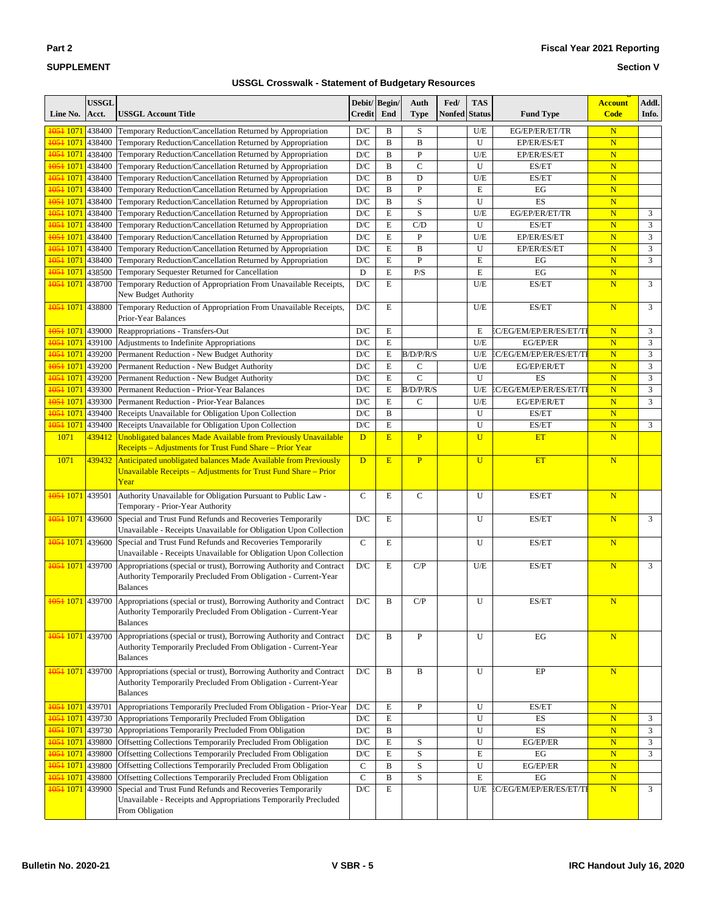| $\sim$<br>. .<br>٠ |  |
|--------------------|--|
|--------------------|--|

#### **Section V**

| Line No.                       | <b>USSGL</b><br>Acct. | <b>USSGL Account Title</b>                                                                                                                                                       | Debit/Begin/<br><b>Credit</b> | End            | Auth<br><b>Type</b> | Fed/<br><b>Nonfed</b> | <b>TAS</b><br><b>Status</b> | <b>Fund Type</b>        | <b>Account</b><br><b>Code</b> | Addl.<br>Info. |
|--------------------------------|-----------------------|----------------------------------------------------------------------------------------------------------------------------------------------------------------------------------|-------------------------------|----------------|---------------------|-----------------------|-----------------------------|-------------------------|-------------------------------|----------------|
| 1051 1071 438400               |                       | Temporary Reduction/Cancellation Returned by Appropriation                                                                                                                       | D/C                           | B              | S                   |                       | U/E                         | EG/EP/ER/ET/TR          | $\mathbf N$                   |                |
| 1051 1071 438400               |                       | Temporary Reduction/Cancellation Returned by Appropriation                                                                                                                       | D/C                           | B              | B                   |                       | U                           | EP/ER/ES/ET             | $\overline{\mathbf{N}}$       |                |
| 1051 1071 438400               |                       | Temporary Reduction/Cancellation Returned by Appropriation                                                                                                                       | D/C                           | B              | $\overline{P}$      |                       | U/E                         | EP/ER/ES/ET             | $\mathbf N$                   |                |
| 1051 1071 438400               |                       | Temporary Reduction/Cancellation Returned by Appropriation                                                                                                                       | D/C                           | $\, {\bf B}$   | $\mathbf C$         |                       | U                           | ES/ET                   | $\overline{\mathbf{N}}$       |                |
| 1051 1071 438400               |                       | Temporary Reduction/Cancellation Returned by Appropriation                                                                                                                       | D/C                           | B              | D                   |                       | U/E                         | ES/ET                   | $\overline{\mathbf{N}}$       |                |
| 1051 1071                      | 438400                | Temporary Reduction/Cancellation Returned by Appropriation                                                                                                                       | D/C                           | B              | $\overline{P}$      |                       | E                           | EG                      | $\mathbf N$                   |                |
| 1051 1071 438400               |                       | Temporary Reduction/Cancellation Returned by Appropriation                                                                                                                       | D/C                           | B              | S                   |                       | U                           | ES                      | $\overline{\mathbf{N}}$       |                |
| 1051 1071 438400               |                       | Temporary Reduction/Cancellation Returned by Appropriation                                                                                                                       | D/C                           | $\mathbf E$    | S                   |                       | U/E                         | EG/EP/ER/ET/TR          | $\overline{\mathbf{N}}$       | 3              |
| 1051 1071 438400               |                       | Temporary Reduction/Cancellation Returned by Appropriation                                                                                                                       | D/C                           | $\mathbf E$    | C/D                 |                       | U                           | ES/ET                   | $\overline{\mathbf{N}}$       | 3              |
| 1051 1071 438400               |                       | Temporary Reduction/Cancellation Returned by Appropriation                                                                                                                       | D/C                           | E              | $\overline{P}$      |                       | U/E                         | EP/ER/ES/ET             | $\overline{\mathbf{N}}$       | 3              |
| 1051 1071 438400               |                       | Temporary Reduction/Cancellation Returned by Appropriation                                                                                                                       | D/C                           | $\mathbf E$    | B                   |                       | U                           | EP/ER/ES/ET             | $\mathbf N$                   | $\mathfrak{Z}$ |
| 1051 1071 438400               |                       | Temporary Reduction/Cancellation Returned by Appropriation                                                                                                                       | D/C                           | $\mathbf E$    | $\overline{P}$      |                       | E                           | EG                      | $\overline{\mathbf{N}}$       | 3              |
| 1051 1071 438500               |                       | Temporary Sequester Returned for Cancellation                                                                                                                                    | D                             | E              | P/S                 |                       | E                           | EG                      | $\overline{\mathbf{N}}$       |                |
| 1051 1071                      | 438700                | Temporary Reduction of Appropriation From Unavailable Receipts,<br>New Budget Authority                                                                                          | $\mathbf{D}/\mathbf{C}$       | $\overline{E}$ |                     |                       | U/E                         | ES/ET                   | $\overline{\mathbf{N}}$       | $\overline{3}$ |
| 1051 1071 438800               |                       | Temporary Reduction of Appropriation From Unavailable Receipts,<br>Prior-Year Balances                                                                                           | D/C                           | E              |                     |                       | U/E                         | ES/ET                   | $\overline{\mathbf{N}}$       | 3              |
| 1051 1071 439000               |                       | Reappropriations - Transfers-Out                                                                                                                                                 | D/C                           | E              |                     |                       | E                           | EC/EG/EM/EP/ER/ES/ET/TI | $\overline{\mathbf{N}}$       | 3              |
| 1051 1071 439100               |                       | Adjustments to Indefinite Appropriations                                                                                                                                         | D/C                           | E              |                     |                       | U/E                         | EG/EP/ER                | $\overline{\mathbf{N}}$       | 3              |
| 1051 1071 439200               |                       | Permanent Reduction - New Budget Authority                                                                                                                                       | D/C                           | $\mathbf E$    | B/D/P/R/S           |                       | U/E                         | EC/EG/EM/EP/ER/ES/ET/TI | $\mathbf N$                   | $\mathfrak{Z}$ |
| 1051 1071 439200               |                       | Permanent Reduction - New Budget Authority                                                                                                                                       | D/C                           | $\mathbf E$    | C                   |                       | U/E                         | EG/EP/ER/ET             | $\overline{\mathbf{N}}$       | 3              |
| 1051 1071 439200               |                       | Permanent Reduction - New Budget Authority                                                                                                                                       | D/C                           | E              | $\mathsf{C}$        |                       | U                           | ES                      | $\overline{\mathbf{N}}$       | 3              |
| 1051 1071                      | 439300                | Permanent Reduction - Prior-Year Balances                                                                                                                                        | D/C                           | E              | B/D/P/R/S           |                       | U/E                         | EC/EG/EM/EP/ER/ES/ET/TI | $\overline{\mathbf{N}}$       | 3              |
| 1051 1071                      | 439300                | Permanent Reduction - Prior-Year Balances                                                                                                                                        | D/C                           | E              | C                   |                       | U/E                         | EG/EP/ER/ET             | $\overline{\mathbf{N}}$       | 3              |
| 1051 1071                      | 439400                | Receipts Unavailable for Obligation Upon Collection                                                                                                                              | D/C                           | $\, {\bf B}$   |                     |                       | U                           | ES/ET                   | $\overline{\mathbf{N}}$       |                |
| 1051 1071                      | 439400                | Receipts Unavailable for Obligation Upon Collection                                                                                                                              | D/C                           | E              |                     |                       | U                           | ES/ET                   | $\mathbf N$                   | 3              |
| 1071                           | 439412                | Unobligated balances Made Available from Previously Unavailable<br>Receipts – Adjustments for Trust Fund Share – Prior Year                                                      | D                             | E              | $\overline{P}$      |                       | U                           | <b>ET</b>               | $\overline{\mathbf{N}}$       |                |
| 1071                           | 439432                | Anticipated unobligated balances Made Available from Previously<br>Unavailable Receipts - Adjustments for Trust Fund Share - Prior<br>Year                                       | D                             | E              | $\overline{P}$      |                       | $\overline{U}$              | ET                      | $\overline{\mathbf{N}}$       |                |
| <mark>1051 1071 </mark> 439501 |                       | Authority Unavailable for Obligation Pursuant to Public Law -<br>Temporary - Prior-Year Authority                                                                                | $\mathbf C$                   | E              | $\mathbf C$         |                       | U                           | ES/ET                   | $\overline{\mathbf{N}}$       |                |
| <del>1051</del> 1071 439600    |                       | Special and Trust Fund Refunds and Recoveries Temporarily<br>Unavailable - Receipts Unavailable for Obligation Upon Collection                                                   | D/C                           | E              |                     |                       | U                           | ES/ET                   | N                             | 3              |
| <del>1051</del> 1071 439600    |                       | Special and Trust Fund Refunds and Recoveries Temporarily<br>Unavailable - Receipts Unavailable for Obligation Upon Collection                                                   | $\mathsf{C}$                  | E              |                     |                       | U                           | ES/ET                   | N                             |                |
| 1051 1071 439700               |                       | Appropriations (special or trust), Borrowing Authority and Contract<br>Authority Temporarily Precluded From Obligation - Current-Year<br><b>Balances</b>                         | D/C                           | E              | C/P                 |                       | U/E                         | ES/ET                   | N                             | $\overline{3}$ |
|                                |                       | <b>1051 1071</b> 439700 Appropriations (special or trust), Borrowing Authority and Contract<br>Authority Temporarily Precluded From Obligation - Current-Year<br><b>Balances</b> | D/C                           | B              | C/P                 |                       | U                           | ES/ET                   | $\overline{\mathbf{N}}$       |                |
| 1051 1071 439700               |                       | Appropriations (special or trust), Borrowing Authority and Contract<br>Authority Temporarily Precluded From Obligation - Current-Year<br><b>Balances</b>                         | $\mathbf{D}/\mathbf{C}$       | B              | ${\bf P}$           |                       | U                           | EG                      | N                             |                |
| 1051 1071 439700               |                       | Appropriations (special or trust), Borrowing Authority and Contract<br>Authority Temporarily Precluded From Obligation - Current-Year<br><b>Balances</b>                         | $\mathbf{D}/\mathbf{C}$       | B              | B                   |                       | U                           | EP                      | N                             |                |
| 1051 1071 439701               |                       | Appropriations Temporarily Precluded From Obligation - Prior-Year                                                                                                                | D/C                           | E              | $\mathbf{P}$        |                       | U                           | ES/ET                   | N                             |                |
|                                |                       | <b>1051 1071</b> 439730 Appropriations Temporarily Precluded From Obligation                                                                                                     | $\mathbf{D}/\mathbf{C}$       | ${\bf E}$      |                     |                       | U                           | ES                      | $\overline{\mathbf{N}}$       | 3              |
|                                |                       | <b>1051 1071</b> 439730 Appropriations Temporarily Precluded From Obligation                                                                                                     | D/C                           | B              |                     |                       | U                           | ES                      | $\mathbf N$                   | 3              |
| 1051 1071 439800               |                       | Offsetting Collections Temporarily Precluded From Obligation                                                                                                                     | $\mathbf{D}/\mathbf{C}$       | $\mathbf E$    | S                   |                       | U                           | EG/EP/ER                | $\mathbf N$                   | 3              |
| <del>1051</del> 1071 439800    |                       | Offsetting Collections Temporarily Precluded From Obligation                                                                                                                     | $\mathbf{D}/\mathbf{C}$       | $\mathbf E$    | S                   |                       | E                           | EG                      | $\overline{\mathbf{N}}$       | 3              |
| 1051 1071 439800               |                       | Offsetting Collections Temporarily Precluded From Obligation                                                                                                                     | $\mathbf C$                   | B              | $\mathbf S$         |                       | U                           | EG/EP/ER                | $\overline{\mathbf{N}}$       |                |
| 1051 1071 439800               |                       | Offsetting Collections Temporarily Precluded From Obligation                                                                                                                     | $\mathbf C$                   | $\, {\bf B}$   | S                   |                       | E                           | EG                      | $\mathbf N$                   |                |
| <del>1051</del> 1071 439900    |                       | Special and Trust Fund Refunds and Recoveries Temporarily<br>Unavailable - Receipts and Appropriations Temporarily Precluded<br>From Obligation                                  | $\mathbf{D}/\mathbf{C}$       | E              |                     |                       | U/E                         | EC/EG/EM/EP/ER/ES/ET/TI | N                             | $\mathfrak{Z}$ |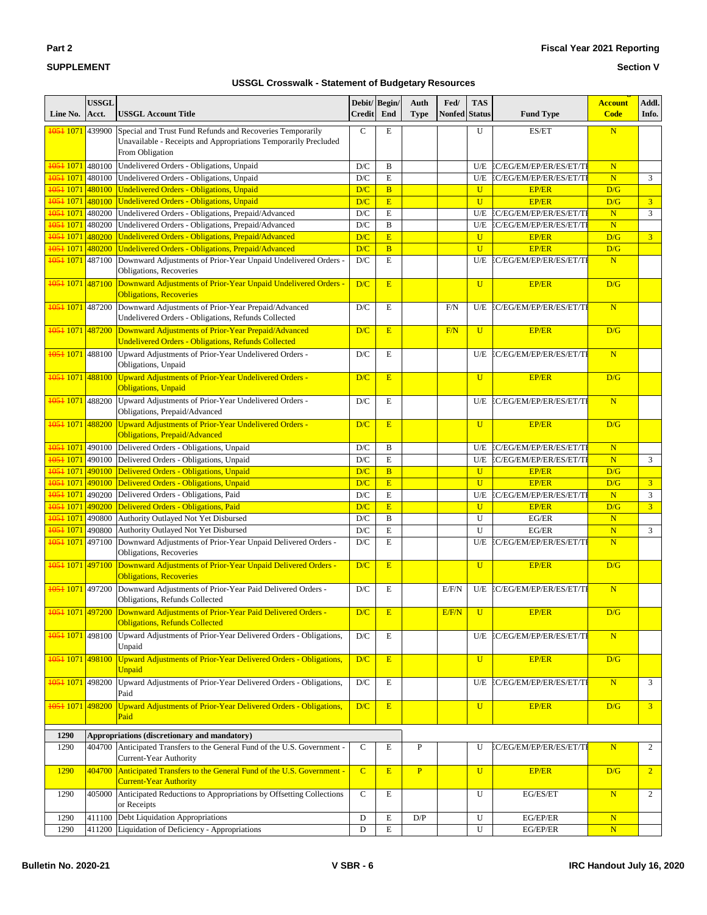**g** 

**Section V**

## **SUPPLEMENT**

| Line No.                    | <b>USSGL</b><br>Acct. | <b>USSGL Account Title</b>                                                                                                                      | Debit/Begin/<br><b>Credit</b> | End            | Auth<br><b>Type</b> | Fed/<br><b>Nonfed</b> | <b>TAS</b><br><b>Status</b> | <b>Fund Type</b>               | <b>Account</b><br><b>Code</b> | Addl.<br>Info. |
|-----------------------------|-----------------------|-------------------------------------------------------------------------------------------------------------------------------------------------|-------------------------------|----------------|---------------------|-----------------------|-----------------------------|--------------------------------|-------------------------------|----------------|
| <del>1051</del> 1071        | 439900                | Special and Trust Fund Refunds and Recoveries Temporarily<br>Unavailable - Receipts and Appropriations Temporarily Precluded<br>From Obligation | $\mathsf{C}$                  | E              |                     |                       | U                           | ES/ET                          | $\overline{\mathbf{N}}$       |                |
| 1051 1071                   | 480100                | Undelivered Orders - Obligations, Unpaid                                                                                                        | D/C                           | B              |                     |                       | U/E                         | EC/EG/EM/EP/ER/ES/ET/TI        | $\mathbf N$                   |                |
| <del>1051</del> 1071        | 480100                | Undelivered Orders - Obligations, Unpaid                                                                                                        | D/C                           | $\mathbf E$    |                     |                       | U/E                         | EC/EG/EM/EP/ER/ES/ET/TI        | N                             | 3              |
| 1051 1071                   | 480100                | Undelivered Orders - Obligations, Unpaid                                                                                                        | D/C                           | $\overline{B}$ |                     |                       | $\mathbf U$                 | <b>EP/ER</b>                   | D/G                           |                |
| <del>1051</del> 1071        | 480100                | Undelivered Orders - Obligations, Unpaid                                                                                                        | D/C                           | E              |                     |                       | $\overline{U}$              | <b>EP/ER</b>                   | D/G                           | 3 <sup>1</sup> |
| 1051 1071                   | 480200                | Undelivered Orders - Obligations, Prepaid/Advanced                                                                                              | D/C                           | $\mathbf E$    |                     |                       | U/E                         | EC/EG/EM/EP/ER/ES/ET/TI        | $\overline{\mathbf{N}}$       | 3              |
| 1051 1071                   | 480200                | Undelivered Orders - Obligations, Prepaid/Advanced                                                                                              | D/C                           | B              |                     |                       | U/E                         | EC/EG/EM/EP/ER/ES/ET/TI        | N                             |                |
| 1051 1071                   | 480200                | Undelivered Orders - Obligations, Prepaid/Advanced                                                                                              |                               | E              |                     |                       | $\mathbf{U}$                |                                | D/G                           | $\overline{3}$ |
|                             |                       | Undelivered Orders - Obligations, Prepaid/Advanced                                                                                              | D/C                           |                |                     |                       |                             | <b>EP/ER</b>                   |                               |                |
| 1051 1071                   | 480200                |                                                                                                                                                 | D/C                           | $\overline{B}$ |                     |                       | $\overline{U}$              | <b>EP/ER</b>                   | D/G                           |                |
| 1051 1071                   | 487100                | Downward Adjustments of Prior-Year Unpaid Undelivered Orders -<br>Obligations, Recoveries                                                       | D/C                           | E              |                     |                       | U/E                         | EC/EG/EM/EP/ER/ES/ET/TI        | N                             |                |
| 1051 1071 487100            |                       | Downward Adjustments of Prior-Year Unpaid Undelivered Orders -<br><b>Obligations, Recoveries</b>                                                | D/C                           | E              |                     |                       | $\mathbf U$                 | <b>EP/ER</b>                   | D/G                           |                |
| 1051 1071                   | 487200                | Downward Adjustments of Prior-Year Prepaid/Advanced<br>Undelivered Orders - Obligations, Refunds Collected                                      | D/C                           | E              |                     | F/N                   | U/E                         | EC/EG/EM/EP/ER/ES/ET/TI        | N                             |                |
| <del>1051</del> 1071 487200 |                       | Downward Adjustments of Prior-Year Prepaid/Advanced<br><b>Undelivered Orders - Obligations, Refunds Collected</b>                               | D/C                           | E              |                     | F/N                   | $\overline{U}$              | <b>EP/ER</b>                   | D/G                           |                |
| 1051 1071                   | 488100                | Upward Adjustments of Prior-Year Undelivered Orders -<br>Obligations, Unpaid                                                                    | D/C                           | E              |                     |                       | U/E                         | EC/EG/EM/EP/ER/ES/ET/TI        | N                             |                |
| 1051 1071 488100            |                       | <b>Upward Adjustments of Prior-Year Undelivered Orders -</b><br><b>Obligations</b> , Unpaid                                                     | D/C                           | E              |                     |                       | U                           | <b>EP/ER</b>                   | D/G                           |                |
| 1051 1071                   | 488200                | Upward Adjustments of Prior-Year Undelivered Orders -<br>Obligations, Prepaid/Advanced                                                          | D/C                           | E              |                     |                       | U/E                         | EC/EG/EM/EP/ER/ES/ET/TI        | N                             |                |
| 1051 1071 488200            |                       | Upward Adjustments of Prior-Year Undelivered Orders -<br><b>Obligations, Prepaid/Advanced</b>                                                   | D/C                           | E              |                     |                       | $\overline{U}$              | <b>EP/ER</b>                   | D/G                           |                |
| 1051 1071                   | 490100                | Delivered Orders - Obligations, Unpaid                                                                                                          | D/C                           | B              |                     |                       | U/E                         | EC/EG/EM/EP/ER/ES/ET/TI        | $\mathbf N$                   |                |
| 1051 1071                   | 490100                | Delivered Orders - Obligations, Unpaid                                                                                                          | D/C                           | $\mathbf E$    |                     |                       | U/E                         | EC/EG/EM/EP/ER/ES/ET/TI        | N                             | 3              |
| <del>1051</del> 1071 490100 |                       | Delivered Orders - Obligations, Unpaid                                                                                                          | D/C                           | $\overline{B}$ |                     |                       | $\mathbf{U}$                | <b>EP/ER</b>                   | D/G                           |                |
| 1051 1071                   | 490100                | Delivered Orders - Obligations, Unpaid                                                                                                          | D/C                           | E              |                     |                       | $\overline{U}$              | <b>EP/ER</b>                   | D/G                           | $\overline{3}$ |
| 1051 1071                   | 490200                | Delivered Orders - Obligations, Paid                                                                                                            | D/C                           | E              |                     |                       | U/E                         | EC/EG/EM/EP/ER/ES/ET/TI        | $\mathbf N$                   | 3              |
| 1051 1071                   | 490200                | Delivered Orders - Obligations, Paid                                                                                                            | D/C                           | E              |                     |                       | $\mathbf U$                 | <b>EP/ER</b>                   | D/G                           | $\overline{3}$ |
| 1051 1071                   | 490800                | Authority Outlayed Not Yet Disbursed                                                                                                            | D/C                           | $\, {\bf B}$   |                     |                       | $\mathbf U$                 | EG/ER                          | $\overline{\mathbf{N}}$       |                |
| <del>1051</del> 1071        | 490800                | Authority Outlayed Not Yet Disbursed                                                                                                            | D/C                           | E              |                     |                       | U                           | EG/ER                          | $\overline{\mathbf{N}}$       | 3              |
| <del>1051</del> 1071        | 497100                | Downward Adjustments of Prior-Year Unpaid Delivered Orders -<br>Obligations, Recoveries                                                         | D/C                           | E              |                     |                       | U/E                         | EC/EG/EM/EP/ER/ES/ET/TI        | $\overline{\mathbf{N}}$       |                |
| <del>1051</del> 1071 497100 |                       | Downward Adjustments of Prior-Year Unpaid Delivered Orders -<br><b>Obligations, Recoveries</b>                                                  | D/C                           | E              |                     |                       | $\overline{U}$              | <b>EP/ER</b>                   | D/G                           |                |
| 1051 1071                   | 497200                | Downward Adjustments of Prior-Year Paid Delivered Orders -<br>Obligations, Refunds Collected                                                    | D/C                           | E              |                     | E/F/N                 | U/E                         | EC/EG/EM/EP/ER/ES/ET/TI        | N                             |                |
|                             |                       | 1051 1071 497200 Downward Adjustments of Prior-Year Paid Delivered Orders -<br><b>Obligations, Refunds Collected</b>                            | D/C                           | E              |                     | E/F/N                 | $\overline{U}$              | <b>EP/ER</b>                   | D/G                           |                |
| 1051 1071                   | 498100                | Upward Adjustments of Prior-Year Delivered Orders - Obligations,<br>Unpaid                                                                      | D/C                           | E              |                     |                       | U/E                         | <b>EC/EG/EM/EP/ER/ES/ET/TI</b> | N                             |                |
| 1051 1071                   | 498100                | Upward Adjustments of Prior-Year Delivered Orders - Obligations,<br>Unpaid                                                                      | D/C                           | E              |                     |                       | $\mathbf U$                 | <b>EP/ER</b>                   | D/G                           |                |
| 1051 1071                   | 498200                | Upward Adjustments of Prior-Year Delivered Orders - Obligations,<br>Paid                                                                        | D/C                           | E              |                     |                       | U/E                         | EC/EG/EM/EP/ER/ES/ET/TI        | N                             | 3              |
| 1051 1071                   | 498200                | Upward Adjustments of Prior-Year Delivered Orders - Obligations,<br>Paid                                                                        | D/C                           | E              |                     |                       | $\mathbf U$                 | <b>EP/ER</b>                   | D/G                           | 3 <sup>1</sup> |
| 1290                        |                       | Appropriations (discretionary and mandatory)                                                                                                    |                               |                |                     |                       |                             |                                |                               |                |
| 1290                        | 404700                | Anticipated Transfers to the General Fund of the U.S. Government -<br>Current-Year Authority                                                    | $\mathbf C$                   | E              | P                   |                       | U                           | EC/EG/EM/EP/ER/ES/ET/TI        | N                             | $\overline{c}$ |
| 1290                        | 404700                | Anticipated Transfers to the General Fund of the U.S. Government -<br><b>Current-Year Authority</b>                                             | $\overline{C}$                | E              | $\mathbf{P}$        |                       | $\overline{U}$              | <b>EP/ER</b>                   | D/G                           | $\overline{2}$ |
| 1290                        | 405000                | Anticipated Reductions to Appropriations by Offsetting Collections<br>or Receipts                                                               | $\mathsf{C}$                  | E              |                     |                       | U                           | EG/ES/ET                       | N                             | $\overline{c}$ |
| 1290                        | 411100                | Debt Liquidation Appropriations                                                                                                                 | D                             | E              | D/P                 |                       | U                           | EG/EP/ER                       | N                             |                |
| 1290                        | 411200                | Liquidation of Deficiency - Appropriations                                                                                                      | D                             | $\mathbf E$    |                     |                       | U                           | EG/EP/ER                       | N                             |                |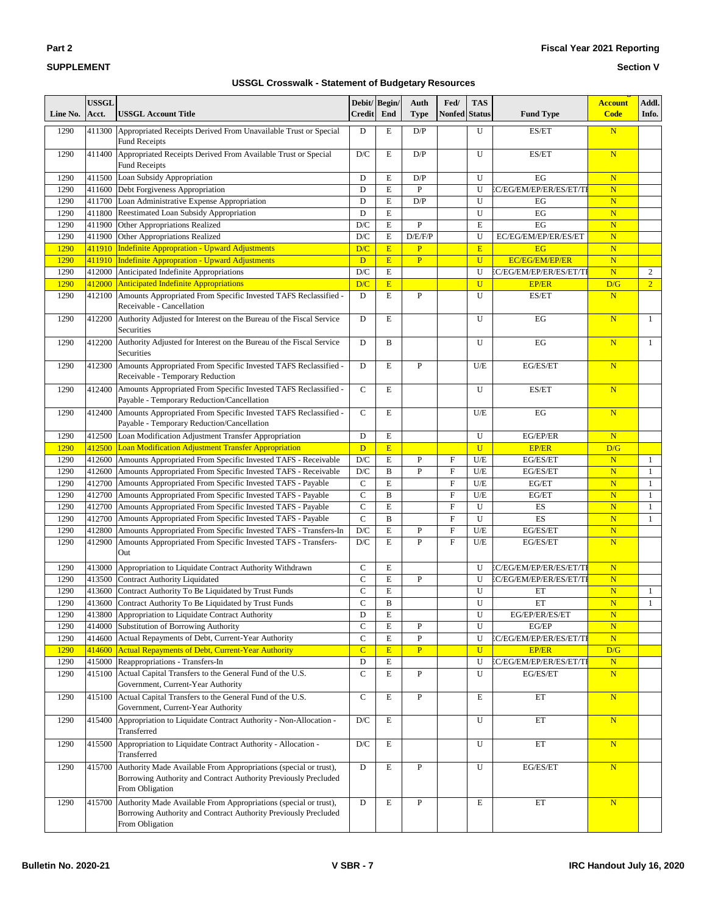### **Section V**

| Line No. | <b>USSGL</b><br>Acct. | <b>USSGL Account Title</b>                                                                                                                             | <b>Credit</b>           | Debit/Begin/<br>End | Auth<br>Type   | Fed/<br>Nonfed | <b>TAS</b><br><b>Status</b> | <b>Fund Type</b>        | <b>Account</b><br><b>Code</b> | Addl.<br>Info. |
|----------|-----------------------|--------------------------------------------------------------------------------------------------------------------------------------------------------|-------------------------|---------------------|----------------|----------------|-----------------------------|-------------------------|-------------------------------|----------------|
| 1290     | 411300                | Appropriated Receipts Derived From Unavailable Trust or Special<br><b>Fund Receipts</b>                                                                | D                       | E                   | D/P            |                | U                           | ES/ET                   | $\overline{\mathbf{N}}$       |                |
| 1290     | 411400                | Appropriated Receipts Derived From Available Trust or Special<br><b>Fund Receipts</b>                                                                  | D/C                     | Е                   | D/P            |                | U                           | ES/ET                   | $\overline{\mathbf{N}}$       |                |
| 1290     | 411500                | Loan Subsidy Appropriation                                                                                                                             | D                       | E                   | D/P            |                | U                           | EG                      | $\overline{\mathbf{N}}$       |                |
| 1290     | 411600                | Debt Forgiveness Appropriation                                                                                                                         | D                       | E                   | $\mathbf{P}$   |                | U                           | EC/EG/EM/EP/ER/ES/ET/TI | $\overline{\mathbf{N}}$       |                |
| 1290     | 411700                | Loan Administrative Expense Appropriation                                                                                                              | D                       | E                   | D/P            |                | U                           | EG                      | $\mathbf N$                   |                |
| 1290     | 411800                | <b>Reestimated Loan Subsidy Appropriation</b>                                                                                                          | D                       | E                   |                |                | U                           | EG                      | $\overline{\mathbf{N}}$       |                |
| 1290     | 411900                | Other Appropriations Realized                                                                                                                          | D/C                     | E                   | $\overline{P}$ |                | E                           | EG                      | $\overline{\mathbf{N}}$       |                |
| 1290     | 411900                | Other Appropriations Realized                                                                                                                          | D/C                     | E                   | D/E/F/P        |                | U                           | EC/EG/EM/EP/ER/ES/ET    | $\overline{\mathbf{N}}$       |                |
| 1290     |                       | 411910 Indefinite Appropration - Upward Adjustments                                                                                                    | D/C                     | $\mathbf E$         | $\overline{P}$ |                | E                           | EG                      | $\overline{\mathbf{N}}$       |                |
| 1290     | 411910                | <b>Indefinite Appropration - Upward Adjustments</b>                                                                                                    | D                       | E                   | $\overline{P}$ |                | $\mathbf{U}$                | <b>EC/EG/EM/EP/ER</b>   | $\overline{\mathbf{N}}$       |                |
| 1290     | 412000                | Anticipated Indefinite Appropriations                                                                                                                  | D/C                     | E                   |                |                | U                           | EC/EG/EM/EP/ER/ES/ET/TI | $\mathbf N$                   | 2              |
| 1290     | 412000                | <b>Anticipated Indefinite Appropriations</b>                                                                                                           | D/C                     | E                   |                |                | $\mathbf{U}$                | <b>EP/ER</b>            | D/G                           | $\overline{2}$ |
| 1290     | 412100                | Amounts Appropriated From Specific Invested TAFS Reclassified -<br>Receivable - Cancellation                                                           | D                       | Е                   | $\mathbf{P}$   |                | U                           | ES/ET                   | $\overline{\mathbf{N}}$       |                |
| 1290     | 412200                | Authority Adjusted for Interest on the Bureau of the Fiscal Service<br>Securities                                                                      | D                       | E                   |                |                | U                           | EG                      | N                             | $\mathbf{1}$   |
| 1290     | 412200                | Authority Adjusted for Interest on the Bureau of the Fiscal Service<br>Securities                                                                      | D                       | B                   |                |                | U                           | EG                      | $\overline{\mathbf{N}}$       | $\mathbf{1}$   |
| 1290     | 412300                | Amounts Appropriated From Specific Invested TAFS Reclassified -<br>Receivable - Temporary Reduction                                                    | D                       | E                   | P              |                | U/E                         | EG/ES/ET                | $\overline{\mathbf{N}}$       |                |
| 1290     | 412400                | Amounts Appropriated From Specific Invested TAFS Reclassified -<br>Payable - Temporary Reduction/Cancellation                                          | $\mathbf C$             | Е                   |                |                | $\mathbf{U}$                | ES/ET                   | N                             |                |
| 1290     | 412400                | Amounts Appropriated From Specific Invested TAFS Reclassified -<br>Payable - Temporary Reduction/Cancellation                                          | $\mathbf C$             | E                   |                |                | U/E                         | EG                      | $\overline{\mathbf{N}}$       |                |
| 1290     | 412500                | Loan Modification Adjustment Transfer Appropriation                                                                                                    | D                       | E                   |                |                | U                           | EG/EP/ER                | N                             |                |
| 1290     | 412500                | Loan Modification Adjustment Transfer Appropriation                                                                                                    | D                       | E                   |                |                | $\mathbf{U}$                | <b>EP/ER</b>            | D/G                           |                |
| 1290     | 412600                | Amounts Appropriated From Specific Invested TAFS - Receivable                                                                                          | D/C                     | E                   | ${\bf P}$      | F              | U/E                         | EG/ES/ET                | $\mathbf N$                   | $\mathbf{1}$   |
| 1290     | 412600                | Amounts Appropriated From Specific Invested TAFS - Receivable                                                                                          | D/C                     | $\, {\bf B}$        | $\mathbf{P}$   | $\overline{F}$ | U/E                         | EG/ES/ET                | $\overline{\mathbf{N}}$       | $\mathbf{1}$   |
| 1290     | 412700                | Amounts Appropriated From Specific Invested TAFS - Payable                                                                                             | $\mathbf C$             | E                   |                | $\mathbf F$    | U/E                         | EG/ET                   | $\overline{\mathbf{N}}$       | 1              |
| 1290     | 412700                | Amounts Appropriated From Specific Invested TAFS - Payable                                                                                             | $\mathsf{C}$            | B                   |                | $\mathbf F$    | U/E                         | EG/ET                   | $\overline{\mathbf{N}}$       | 1              |
| 1290     | 412700                | Amounts Appropriated From Specific Invested TAFS - Payable                                                                                             | $\mathsf C$             | E                   |                | $\mathbf F$    | U                           | ES                      | N                             | 1              |
| 1290     | 412700                | Amounts Appropriated From Specific Invested TAFS - Payable                                                                                             | $\mathsf{C}$            | $\mathbf{B}$        |                | $\overline{F}$ | U                           | ES                      | $\overline{\mathbf{N}}$       | 1              |
| 1290     | 412800                | Amounts Appropriated From Specific Invested TAFS - Transfers-In                                                                                        | D/C                     | Е                   | P              | $\mathbf{F}$   | U/E                         | EG/ES/ET                | $\overline{\mathbf{N}}$       |                |
| 1290     | 412900                | Amounts Appropriated From Specific Invested TAFS - Transfers-<br>Out                                                                                   | D/C                     | E                   | $\mathbf{P}$   | $\overline{F}$ | U/E                         | EG/ES/ET                | $\overline{\mathbf{N}}$       |                |
| 1290     | 413000                | Appropriation to Liquidate Contract Authority Withdrawn                                                                                                | $\mathbf C$             | $\mathbf E$         |                |                | U                           | EC/EG/EM/EP/ER/ES/ET/TI | ${\bf N}$                     |                |
| 1290     | 413500                | <b>Contract Authority Liquidated</b>                                                                                                                   | $\mathbf C$             | E                   | ${\bf P}$      |                | U                           | EC/EG/EM/EP/ER/ES/ET/TI | $\overline{\mathbf{N}}$       |                |
| 1290     | 413600                | Contract Authority To Be Liquidated by Trust Funds                                                                                                     | $\mathsf{C}$            | Е                   |                |                | U                           | ET                      | $\mathbf N$                   | $\mathbf{1}$   |
| 1290     | 413600                | Contract Authority To Be Liquidated by Trust Funds                                                                                                     | $\mathsf{C}$            | B                   |                |                | U                           | ET                      | $\overline{\mathbf{N}}$       | $\mathbf{1}$   |
| 1290     | 413800                | Appropriation to Liquidate Contract Authority                                                                                                          | D                       | E                   |                |                | U                           | EG/EP/ER/ES/ET          | $\mathbf N$                   |                |
| 1290     | 414000                | Substitution of Borrowing Authority                                                                                                                    | $\mathsf C$             | Е                   | P              |                | U                           | EG/EP                   | N                             |                |
| 1290     | 414600                | Actual Repayments of Debt, Current-Year Authority                                                                                                      | $\mathbf C$             | Е                   | $\mathbf{P}$   |                | U                           | EC/EG/EM/EP/ER/ES/ET/TI | ${\bf N}$                     |                |
| 1290     |                       | 414600 Actual Repayments of Debt, Current-Year Authority                                                                                               | $\overline{C}$          | E                   | P              |                | $\mathbf{U}$                | <b>EP/ER</b>            | D/G                           |                |
| 1290     | 415000                | Reappropriations - Transfers-In                                                                                                                        | $\mathbf D$             | E                   |                |                | U                           | EC/EG/EM/EP/ER/ES/ET/TI | ${\bf N}$                     |                |
| 1290     | 415100                | Actual Capital Transfers to the General Fund of the U.S.<br>Government, Current-Year Authority                                                         | $\mathbf C$             | E                   | $\mathbf{P}$   |                | U                           | EG/ES/ET                | ${\bf N}$                     |                |
| 1290     | 415100                | Actual Capital Transfers to the General Fund of the U.S.<br>Government, Current-Year Authority                                                         | $\mathbf C$             | Е                   | $\, {\bf P}$   |                | E                           | ET                      | N                             |                |
| 1290     | 415400                | Appropriation to Liquidate Contract Authority - Non-Allocation -<br>Transferred                                                                        | $\mathbf{D}/\mathbf{C}$ | E                   |                |                | U                           | ET                      | N                             |                |
| 1290     | 415500                | Appropriation to Liquidate Contract Authority - Allocation -<br>Transferred                                                                            | D/C                     | E                   |                |                | U                           | ET                      | N                             |                |
| 1290     | 415700                | Authority Made Available From Appropriations (special or trust),<br>Borrowing Authority and Contract Authority Previously Precluded<br>From Obligation | D                       | E                   | P              |                | U                           | EG/ES/ET                | $\overline{\mathbf{N}}$       |                |
| 1290     | 415700                | Authority Made Available From Appropriations (special or trust),<br>Borrowing Authority and Contract Authority Previously Precluded<br>From Obligation | D                       | Е                   | P              |                | E                           | ET                      | N                             |                |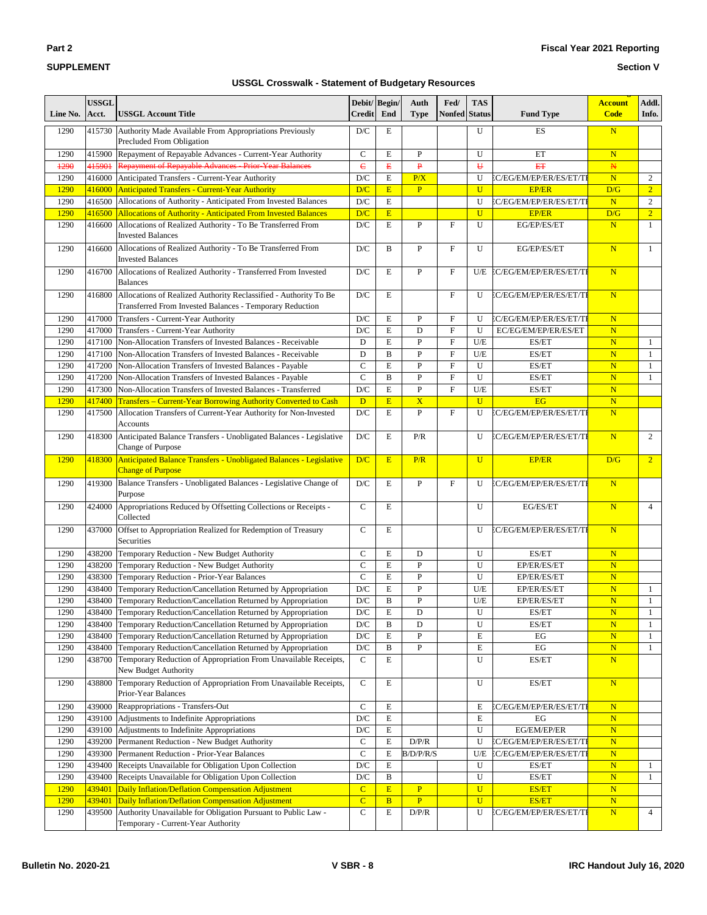## **Fiscal Year 2021 Reporting**

#### **Section V**

| Line No.     | <b>USSGL</b><br>Acct. | <b>USSGL Account Title</b>                                                                                                    | Debit/Begin/<br><b>Credit</b>          | End                | Auth<br><b>Type</b>     | Fed/<br><b>Nonfed</b>     | <b>TAS</b><br><b>Status</b> | <b>Fund Type</b>               | <b>Account</b><br><b>Code</b>          | Addl.<br>Info.   |
|--------------|-----------------------|-------------------------------------------------------------------------------------------------------------------------------|----------------------------------------|--------------------|-------------------------|---------------------------|-----------------------------|--------------------------------|----------------------------------------|------------------|
| 1290         | 415730                | Authority Made Available From Appropriations Previously<br>Precluded From Obligation                                          | $\mathbf{D}/\mathbf{C}$                | E                  |                         |                           | U                           | ES                             | $\overline{\mathbf{N}}$                |                  |
| 1290         | 415900                | Repayment of Repayable Advances - Current-Year Authority                                                                      | $\mathsf{C}$                           | E                  | $\mathbf{P}$            |                           | U                           | ET                             | $\mathbf N$                            |                  |
| 1290         | 415901                | <b>Repayment of Repayable Advances - Prior-Year Balances</b>                                                                  | $\epsilon$                             | $\mathbf{E}% _{0}$ | $\mathbf{P}$            |                           | $\overline{U}$              | <b>ET</b>                      | $\mathbb N$                            |                  |
| 1290         | 416000                | Anticipated Transfers - Current-Year Authority                                                                                | D/C                                    | $\mathbf E$        | P/X                     |                           | U                           | EC/EG/EM/EP/ER/ES/ET/TI        | N                                      | $\boldsymbol{2}$ |
| 1290         | 416000                | <b>Anticipated Transfers - Current-Year Authority</b>                                                                         | D/C                                    | E                  | $\overline{P}$          |                           | $\overline{U}$              | <b>EP/ER</b>                   | D/G                                    | $\overline{2}$   |
| 1290         | 416500                | Allocations of Authority - Anticipated From Invested Balances                                                                 | $\mathbf{D}/\mathbf{C}$                | $\mathbf E$        |                         |                           | U                           | EC/EG/EM/EP/ER/ES/ET/TI        | $\overline{\mathbf{N}}$                | $\overline{2}$   |
| 1290         | 416500                | <b>Allocations of Authority - Anticipated From Invested Balances</b>                                                          | D/C                                    | E                  |                         |                           | $\mathbf{U}$                | <b>EP/ER</b>                   | D/G                                    | $\overline{2}$   |
| 1290         | 416600                | Allocations of Realized Authority - To Be Transferred From<br><b>Invested Balances</b>                                        | $\mathbf{D}/\mathbf{C}$                | $\mathbf E$        | ${\bf P}$               | F                         | U                           | EG/EP/ES/ET                    | $\overline{\mathbf{N}}$                | $\mathbf{1}$     |
| 1290         | 416600                | Allocations of Realized Authority - To Be Transferred From<br><b>Invested Balances</b>                                        | D/C                                    | B                  | $\mathbf{P}$            | $\mathbf F$               | U                           | EG/EP/ES/ET                    | N                                      | $\mathbf{1}$     |
| 1290         | 416700                | Allocations of Realized Authority - Transferred From Invested<br><b>Balances</b>                                              | D/C                                    | E                  | $\overline{P}$          | $\mathbf{F}$              | U/E                         | EC/EG/EM/EP/ER/ES/ET/TI        | $\mathbf N$                            |                  |
| 1290         | 416800                | Allocations of Realized Authority Reclassified - Authority To Be<br>Transferred From Invested Balances - Temporary Reduction  | D/C                                    | E                  |                         | $\mathbf{F}$              | U                           | EC/EG/EM/EP/ER/ES/ET/TI        | N                                      |                  |
| 1290         | 417000                | Transfers - Current-Year Authority                                                                                            | $\mathbf{D}/\mathbf{C}$                | $\mathbf E$        | ${\bf P}$               | $\boldsymbol{\mathrm{F}}$ | U                           | EC/EG/EM/EP/ER/ES/ET/TI        | $\overline{\mathbf{N}}$                |                  |
| 1290         | 417000                | Transfers - Current-Year Authority                                                                                            | $\mathbf{D}/\mathbf{C}$                | E                  | D                       | $\mathbf{F}$              | U                           | EC/EG/EM/EP/ER/ES/ET           | $\overline{\mathbf{N}}$                |                  |
| 1290         | 417100                | Non-Allocation Transfers of Invested Balances - Receivable                                                                    | D                                      | E                  | $\overline{P}$          | $\mathbf{F}$              | U/E                         | ES/ET                          | $\overline{\mathbf{N}}$                | $\mathbf{1}$     |
| 1290         | 417100                | Non-Allocation Transfers of Invested Balances - Receivable                                                                    | D                                      | $\bf{B}$           | $\overline{P}$          | $\mathbf{F}$              | U/E                         | ES/ET                          | $\overline{\mathbf{N}}$                | 1                |
| 1290         | 417200                | Non-Allocation Transfers of Invested Balances - Payable                                                                       | $\mathsf{C}$                           | E                  | $\overline{P}$          | $\mathbf{F}$              | $\mathbf{U}$                | ES/ET                          | $\overline{\mathbf{N}}$                | 1                |
| 1290         | 417200                | Non-Allocation Transfers of Invested Balances - Payable                                                                       | $\overline{C}$                         | $\bf{B}$           | $\overline{P}$          | $\overline{F}$            | U                           | ES/ET                          | N                                      | $\mathbf{1}$     |
| 1290         | 417300                | Non-Allocation Transfers of Invested Balances - Transferred                                                                   | $\mathbf{D}/\mathbf{C}$                | ${\bf E}$          | $\mathbf{P}$            | $\mathbf{F}$              | U/E                         | ES/ET                          | $\overline{\mathbf{N}}$                |                  |
| 1290         | 417400                | <b>Transfers - Current-Year Borrowing Authority Converted to Cash</b>                                                         | D                                      | E                  | $\overline{\mathbf{X}}$ |                           | $\overline{U}$              | <b>EG</b>                      | $\overline{\mathbf{N}}$                |                  |
| 1290         | 417500                | Allocation Transfers of Current-Year Authority for Non-Invested<br><b>Accounts</b>                                            | D/C                                    | $\mathbf E$        | $\mathbf{P}$            | $\mathbf F$               | U                           | EC/EG/EM/EP/ER/ES/ET/TI        | N                                      |                  |
| 1290         | 418300                | Anticipated Balance Transfers - Unobligated Balances - Legislative<br>Change of Purpose                                       | $\mathbf{D}/\mathbf{C}$                | $\mathbf E$        | P/R                     |                           | U                           | EC/EG/EM/EP/ER/ES/ET/TI        | N                                      | $\overline{c}$   |
| 1290         | 418300                | Anticipated Balance Transfers - Unobligated Balances - Legislative<br><b>Change of Purpose</b>                                | D/C                                    | E                  | P/R                     |                           | $\overline{U}$              | <b>EP/ER</b>                   | D/G                                    | $\overline{2}$   |
| 1290         | 419300                | Balance Transfers - Unobligated Balances - Legislative Change of<br>Purpose                                                   | $\mathbf{D}/\mathbf{C}$                | E                  | $\mathbf{P}$            | $\boldsymbol{\mathrm{F}}$ | U                           | EC/EG/EM/EP/ER/ES/ET/TI        | N                                      |                  |
| 1290         | 424000                | Appropriations Reduced by Offsetting Collections or Receipts -<br>Collected                                                   | $\mathbf C$                            | E                  |                         |                           | U                           | EG/ES/ET                       | N                                      | 4                |
| 1290         | 437000                | Offset to Appropriation Realized for Redemption of Treasury<br>Securities                                                     | $\mathsf{C}$                           | E                  |                         |                           | U                           | EC/EG/EM/EP/ER/ES/ET/TI        | N                                      |                  |
| 1290         | 438200                | Temporary Reduction - New Budget Authority                                                                                    | $\mathbf C$                            | E                  | D                       |                           | U                           | ES/ET                          | $\mathbf N$                            |                  |
| 1290         | 438200                | Temporary Reduction - New Budget Authority                                                                                    | $\mathbf C$                            | $\mathbf E$        | $\mathbf{P}$            |                           | U                           | EP/ER/ES/ET                    | $\overline{\mathbf{N}}$                |                  |
| 1290         | 438300                | Temporary Reduction - Prior-Year Balances                                                                                     | $\mathbf C$                            | E                  | $\mathbf{P}$            |                           | U                           | EP/ER/ES/ET                    | $\overline{\mathbf{N}}$                |                  |
| 1290         | 438400                | Temporary Reduction/Cancellation Returned by Appropriation                                                                    | $\mathbf{D}/\mathbf{C}$                | ${\bf E}$          | ${\bf P}$               |                           | U/E                         | EP/ER/ES/ET                    | $\overline{\mathbf{N}}$                | 1                |
| 1290         | 438400                | Temporary Reduction/Cancellation Returned by Appropriation                                                                    | $\mathbf{D}/\mathbf{C}$                | $\bf{B}$           | $\overline{P}$          |                           | U/E                         | EP/ER/ES/ET                    | $\overline{\mathbf{N}}$                | $\mathbf{1}$     |
| 1290         |                       | 438400 Temporary Reduction/Cancellation Returned by Appropriation                                                             | $\mathbf{D}/\mathbf{C}$                | Е                  | D                       |                           | U                           | ES/ET                          | $\mathbf N$                            | 1                |
| 1290         | 438400                | Temporary Reduction/Cancellation Returned by Appropriation                                                                    | $\mathbf{D}/\mathbf{C}$                | B                  | $\mathbf D$             |                           | U                           | ES/ET                          | $\overline{\mathbf{N}}$                | $\mathbf{1}$     |
| 1290         | 438400                | Temporary Reduction/Cancellation Returned by Appropriation                                                                    | $\mathbf{D}/\mathbf{C}$                | E                  | ${\bf P}$               |                           | E                           | EG                             | ${\bf N}$                              | $\mathbf{1}$     |
| 1290<br>1290 | 438400<br>438700      | Temporary Reduction/Cancellation Returned by Appropriation<br>Temporary Reduction of Appropriation From Unavailable Receipts, | $\mathbf{D}/\mathbf{C}$<br>$\mathbf C$ | B<br>E             | ${\bf P}$               |                           | E<br>U                      | EG<br>ES/ET                    | $\overline{\mathbf{N}}$<br>$\mathbf N$ | $\mathbf{1}$     |
| 1290         | 438800                | New Budget Authority<br>Temporary Reduction of Appropriation From Unavailable Receipts,<br>Prior-Year Balances                | $\mathbf C$                            | E                  |                         |                           | U                           | ES/ET                          | N                                      |                  |
| 1290         | 439000                | Reappropriations - Transfers-Out                                                                                              | $\mathbf C$                            | $\mathbf E$        |                         |                           | Е                           | EC/EG/EM/EP/ER/ES/ET/TI        | N                                      |                  |
| 1290         | 439100                | Adjustments to Indefinite Appropriations                                                                                      | $\mathbf{D}/\mathbf{C}$                | E                  |                         |                           | E                           | EG                             | $\mathbf N$                            |                  |
| 1290         | 439100                | Adjustments to Indefinite Appropriations                                                                                      | D/C                                    | Е                  |                         |                           | U                           | EG/EM/EP/ER                    | ${\bf N}$                              |                  |
| 1290         | 439200                | Permanent Reduction - New Budget Authority                                                                                    | $\mathbf C$                            | $\mathbf E$        | D/P/R                   |                           | U                           | EC/EG/EM/EP/ER/ES/ET/TI        | ${\bf N}$                              |                  |
| 1290         | 439300                | Permanent Reduction - Prior-Year Balances                                                                                     | $\mathbf C$                            | E                  | B/D/P/R/S               |                           | U/E                         | EC/EG/EM/EP/ER/ES/ET/TI        | $\mathbf N$                            |                  |
| 1290         | 439400                | Receipts Unavailable for Obligation Upon Collection                                                                           | $\mathbf{D}/\mathbf{C}$                | $\mathbf E$        |                         |                           | U                           | ES/ET                          | ${\bf N}$                              | 1                |
| 1290         | 439400                | Receipts Unavailable for Obligation Upon Collection                                                                           | $\mathbf{D}/\mathbf{C}$                | B                  |                         |                           | U                           | ES/ET                          | $\mathbf N$                            | 1                |
| 1290         | 439401                | Daily Inflation/Deflation Compensation Adjustment                                                                             | $\mathbf C$                            | E                  | $\overline{P}$          |                           | $\mathbf U$                 | <b>ES/ET</b>                   | ${\bf N}$                              |                  |
| 1290         | 439401                | Daily Inflation/Deflation Compensation Adjustment                                                                             | $\overline{C}$                         | $\overline{B}$     | $\overline{P}$          |                           | $\mathbf U$                 | <b>ES/ET</b>                   | $\overline{\mathbf{N}}$                |                  |
| 1290         | 439500                | Authority Unavailable for Obligation Pursuant to Public Law -<br>Temporary - Current-Year Authority                           | $\mathbf C$                            | E                  | D/P/R                   |                           | U                           | <b>EC/EG/EM/EP/ER/ES/ET/TI</b> | ${\bf N}$                              | $\overline{4}$   |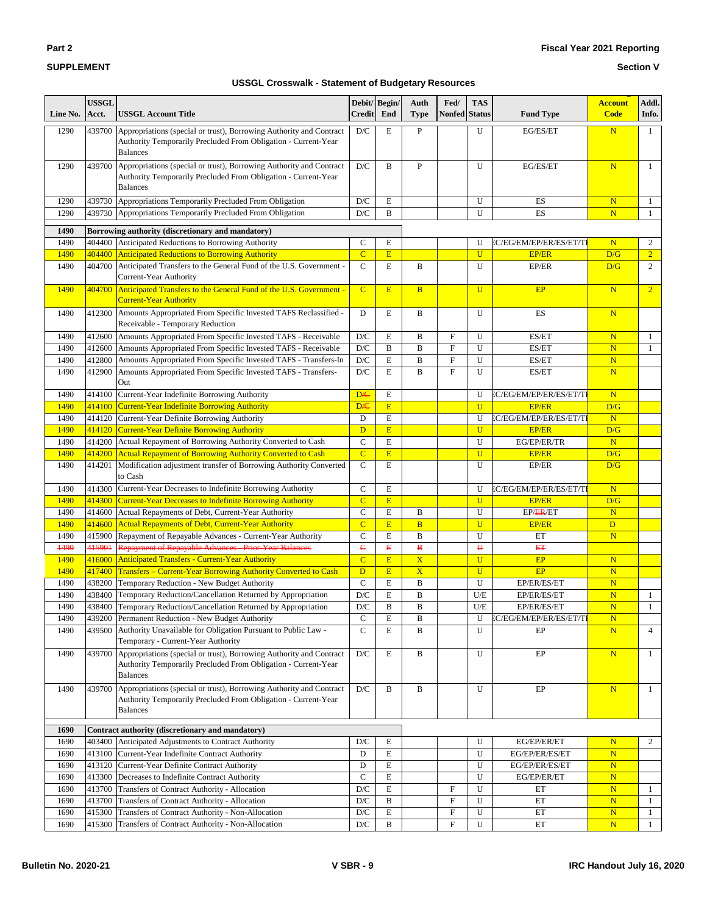| $\sim$<br>. .<br>٠ |  |
|--------------------|--|
|                    |  |

#### **Section V**

| Line No.     | <b>USSGL</b><br>Acct. | <b>USSGL Account Title</b>                                                                                                                                                  | <b>Credit</b>                  | Debit/Begin/<br>End                                   | Auth<br><b>Type</b>     | Fed/<br><b>Nonfed</b>     | <b>TAS</b><br><b>Status</b> | <b>Fund Type</b>                        | <b>Account</b><br><b>Code</b>  | Addl.<br>Info.                   |
|--------------|-----------------------|-----------------------------------------------------------------------------------------------------------------------------------------------------------------------------|--------------------------------|-------------------------------------------------------|-------------------------|---------------------------|-----------------------------|-----------------------------------------|--------------------------------|----------------------------------|
| 1290         | 439700                | Appropriations (special or trust), Borrowing Authority and Contract<br>Authority Temporarily Precluded From Obligation - Current-Year                                       | D/C                            | Е                                                     | $\mathbf{P}$            |                           | U                           | EG/ES/ET                                | N                              | $\mathbf{1}$                     |
| 1290         | 439700                | <b>Balances</b><br>Appropriations (special or trust), Borrowing Authority and Contract<br>Authority Temporarily Precluded From Obligation - Current-Year<br><b>Balances</b> | D/C                            | B                                                     | ${\bf P}$               |                           | U                           | EG/ES/ET                                | N                              | $\mathbf{1}$                     |
| 1290         | 439730                | Appropriations Temporarily Precluded From Obligation                                                                                                                        | D/C                            | E                                                     |                         |                           | U                           | ES                                      | $\overline{\mathbf{N}}$        | 1                                |
| 1290         | 439730                | Appropriations Temporarily Precluded From Obligation                                                                                                                        | D/C                            | B                                                     |                         |                           | U                           | ES                                      | $\overline{\mathbf{N}}$        | 1                                |
|              |                       |                                                                                                                                                                             |                                |                                                       |                         |                           |                             |                                         |                                |                                  |
| 1490         |                       | Borrowing authority (discretionary and mandatory)                                                                                                                           |                                |                                                       |                         |                           |                             |                                         |                                |                                  |
| 1490<br>1490 | 404400<br>404400      | Anticipated Reductions to Borrowing Authority                                                                                                                               | $\mathsf{C}$<br>$\overline{C}$ | E<br>E                                                |                         |                           | U<br>$\mathbf U$            | EC/EG/EM/EP/ER/ES/ET/TI<br><b>EP/ER</b> | $\overline{\mathbf{N}}$<br>D/G | $\overline{c}$<br>$\overline{2}$ |
| 1490         | 404700                | <b>Anticipated Reductions to Borrowing Authority</b><br>Anticipated Transfers to the General Fund of the U.S. Government -                                                  | $\mathbf C$                    | Е                                                     | B                       |                           | U                           | EP/ER                                   | D/G                            | $\overline{c}$                   |
|              |                       | Current-Year Authority                                                                                                                                                      |                                |                                                       |                         |                           |                             |                                         |                                |                                  |
| 1490         | 404700                | Anticipated Transfers to the General Fund of the U.S. Government -<br><b>Current-Year Authority</b>                                                                         | $\mathbf C$                    | E                                                     | B                       |                           | $\overline{U}$              | EP                                      | N                              | $\overline{2}$                   |
| 1490         | 412300                | Amounts Appropriated From Specific Invested TAFS Reclassified -<br>Receivable - Temporary Reduction                                                                         | D                              | E                                                     | B                       |                           | U                           | ES                                      | N                              |                                  |
| 1490         | 412600                | Amounts Appropriated From Specific Invested TAFS - Receivable                                                                                                               | D/C                            | E                                                     | B                       | $\boldsymbol{\mathrm{F}}$ | U                           | ES/ET                                   | $\overline{\mathbf{N}}$        | 1                                |
| 1490         | 412600                | Amounts Appropriated From Specific Invested TAFS - Receivable                                                                                                               | D/C                            | B                                                     | B                       | $\mathbf F$               | U                           | ES/ET                                   | $\mathbf N$                    | $\mathbf{1}$                     |
| 1490         | 412800                | Amounts Appropriated From Specific Invested TAFS - Transfers-In                                                                                                             | D/C                            | E                                                     | $\mathbf B$             | $\mathbf{F}$              | U                           | ES/ET                                   | $\overline{\mathbf{N}}$        |                                  |
| 1490         | 412900                | Amounts Appropriated From Specific Invested TAFS - Transfers-<br>Out                                                                                                        | D/C                            | Е                                                     | B                       | $\mathbf{F}$              | U                           | ES/ET                                   | $\overline{\mathbf{N}}$        |                                  |
| 1490         | 414100                | Current-Year Indefinite Borrowing Authority                                                                                                                                 | DÆ                             | E                                                     |                         |                           | U                           | EC/EG/EM/EP/ER/ES/ET/TI                 | $\overline{\mathbf{N}}$        |                                  |
| 1490         | 414100                | <b>Current-Year Indefinite Borrowing Authority</b>                                                                                                                          | <b>D/C</b>                     | E                                                     |                         |                           | $\mathbf U$                 | <b>EP/ER</b>                            | D/G                            |                                  |
| 1490         | 414120                | Current-Year Definite Borrowing Authority                                                                                                                                   | D                              | E                                                     |                         |                           | U                           | EC/EG/EM/EP/ER/ES/ET/TI                 | N                              |                                  |
| 1490         | 414120                | <b>Current-Year Definite Borrowing Authority</b>                                                                                                                            | D                              | E                                                     |                         |                           | $\overline{U}$              | <b>EP/ER</b>                            | D/G                            |                                  |
| 1490         | 414200                | Actual Repayment of Borrowing Authority Converted to Cash                                                                                                                   | $\mathbf C$<br>$\overline{C}$  | $\mathbf E$<br>E                                      |                         |                           | U<br>$\overline{U}$         | EG/EP/ER/TR                             | N<br>D/G                       |                                  |
| 1490<br>1490 | 414200<br>414201      | <b>Actual Repayment of Borrowing Authority Converted to Cash</b><br>Modification adjustment transfer of Borrowing Authority Converted<br>to Cash                            | $\mathbf C$                    | E                                                     |                         |                           | U                           | <b>EP/ER</b><br>EP/ER                   | D/G                            |                                  |
| 1490         | 414300                | Current-Year Decreases to Indefinite Borrowing Authority                                                                                                                    | $\mathbf C$                    | E                                                     |                         |                           | U                           | EC/EG/EM/EP/ER/ES/ET/TI                 | N                              |                                  |
| 1490         | 414300                | <b>Current-Year Decreases to Indefinite Borrowing Authority</b>                                                                                                             | $\mathbf C$                    | E                                                     |                         |                           | $\mathbf U$                 | <b>EP/ER</b>                            | D/G                            |                                  |
| 1490         | 414600                | Actual Repayments of Debt, Current-Year Authority                                                                                                                           | $\mathbf C$                    | $\mathbf E$                                           | B                       |                           | U                           | EP/ER/ET                                | N                              |                                  |
| 1490         | 414600                | <b>Actual Repayments of Debt, Current-Year Authority</b>                                                                                                                    | $\mathbf C$                    | E                                                     | $\overline{B}$          |                           | $\mathbf U$                 | <b>EP/ER</b>                            | $\mathbf{D}$                   |                                  |
| 1490         | 415900                | Repayment of Repayable Advances - Current-Year Authority                                                                                                                    | $\mathbf C$                    | E                                                     | B                       |                           | U                           | ET                                      | ${\bf N}$                      |                                  |
| 1490         | 415901                | Repayment of Repayable Advances - Prior-Year Balances                                                                                                                       | ë                              | $\mathbf{E}% _{T}=\mathbf{G}_{T}\times\mathbf{G}_{T}$ | $\bf{B}$                |                           | $\overline{H}$              | EŦ                                      |                                |                                  |
| 1490         | 416000                | Anticipated Transfers - Current-Year Authority                                                                                                                              | $\overline{C}$                 | E                                                     | $\overline{\mathbf{X}}$ |                           | $\overline{U}$              | EP                                      | $\overline{\mathbf{N}}$        |                                  |
| 1490         | 417400                | Transfers - Current-Year Borrowing Authority Converted to Cash                                                                                                              | D                              | E                                                     | $\overline{\mathbf{X}}$ |                           | $\overline{U}$              | EP                                      | $\overline{\mathbf{N}}$        |                                  |
| 1490         | 438200                | Temporary Reduction - New Budget Authority                                                                                                                                  | $\mathbf C$                    | E                                                     | B                       |                           | U                           | EP/ER/ES/ET                             | $\mathbf N$                    |                                  |
| 1490<br>1490 | 438400                | Temporary Reduction/Cancellation Returned by Appropriation                                                                                                                  | D/C<br>D/C                     | E<br>B                                                | B<br>B                  |                           | U/E<br>U/E                  | EP/ER/ES/ET                             | $\overline{\mathbf{N}}$<br>N   | $\mathbf{1}$<br>$\mathbf{1}$     |
| 1490         | 438400                | Temporary Reduction/Cancellation Returned by Appropriation<br>439200 Permanent Reduction - New Budget Authority                                                             | $\mathbf C$                    | E                                                     | B                       |                           | U                           | EP/ER/ES/ET<br>EC/EG/EM/EP/ER/ES/ET/TI  | ${\bf N}$                      |                                  |
| 1490         | 439500                | Authority Unavailable for Obligation Pursuant to Public Law -<br>Temporary - Current-Year Authority                                                                         | $\mathbf C$                    | Е                                                     | B                       |                           | U                           | EP                                      | $\overline{\mathbf{N}}$        | $\overline{4}$                   |
| 1490         | 439700                | Appropriations (special or trust), Borrowing Authority and Contract<br>Authority Temporarily Precluded From Obligation - Current-Year<br><b>Balances</b>                    | D/C                            | Е                                                     | B                       |                           | U                           | EP                                      | $\mathbf N$                    | $\mathbf{1}$                     |
| 1490         | 439700                | Appropriations (special or trust), Borrowing Authority and Contract<br>Authority Temporarily Precluded From Obligation - Current-Year<br><b>Balances</b>                    | D/C                            | B                                                     | B                       |                           | U                           | EP                                      | $\mathbf N$                    | $\mathbf{1}$                     |
|              |                       |                                                                                                                                                                             |                                |                                                       |                         |                           |                             |                                         |                                |                                  |
| 1690<br>1690 |                       | Contract authority (discretionary and mandatory)<br>403400 Anticipated Adjustments to Contract Authority                                                                    | D/C                            | Е                                                     |                         |                           | U                           | EG/EP/ER/ET                             | $\overline{\mathbf{N}}$        | 2                                |
| 1690         |                       | 413100 Current-Year Indefinite Contract Authority                                                                                                                           | D                              | Е                                                     |                         |                           | U                           | EG/EP/ER/ES/ET                          | ${\bf N}$                      |                                  |
| 1690         | 413120                | Current-Year Definite Contract Authority                                                                                                                                    | D                              | E                                                     |                         |                           | U                           | EG/EP/ER/ES/ET                          | ${\bf N}$                      |                                  |
| 1690         |                       | 413300 Decreases to Indefinite Contract Authority                                                                                                                           | $\mathbf C$                    | Е                                                     |                         |                           | U                           | EG/EP/ER/ET                             | $\mathbf N$                    |                                  |
| 1690         |                       | 413700 Transfers of Contract Authority - Allocation                                                                                                                         | D/C                            | Е                                                     |                         | F                         | U                           | ET                                      | ${\bf N}$                      | $\mathbf{1}$                     |
| 1690         | 413700                | Transfers of Contract Authority - Allocation                                                                                                                                | $\mathbf{D}/\mathbf{C}$        | B                                                     |                         | F                         | U                           | ET                                      | $\mathbf N$                    | $\mathbf{1}$                     |
| 1690         | 415300                | Transfers of Contract Authority - Non-Allocation                                                                                                                            | D/C                            | E                                                     |                         | F                         | U                           | ET                                      | $\mathbf N$                    | $\mathbf{1}$                     |
| 1690         |                       | 415300 Transfers of Contract Authority - Non-Allocation                                                                                                                     | $\mathbf{D}/\mathbf{C}$        | B                                                     |                         | F                         | U                           | ET                                      | $\overline{\mathbf{N}}$        | 1                                |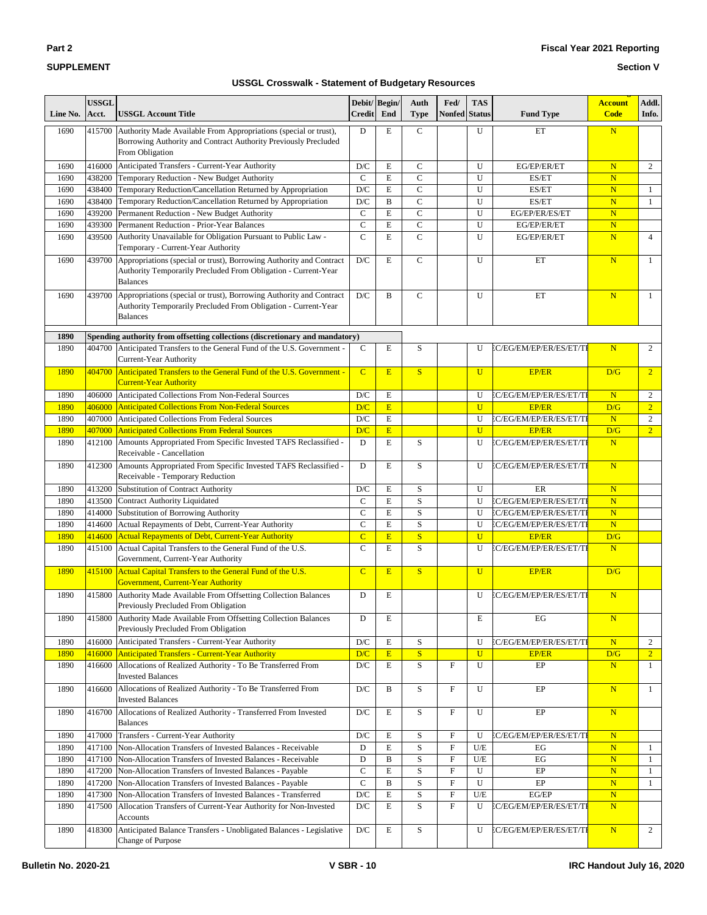#### **Section V**

| Line No.     | <b>USSGL</b><br>Acct. | <b>USSGL Account Title</b>                                                                                                                               | Debit/Begin/<br><b>Credit</b> | End          | Auth<br><b>Type</b>     | Fed/<br>Nonfed                 | <b>TAS</b><br><b>Status</b> | <b>Fund Type</b>                                   | <b>Account</b><br><b>Code</b>          | Addl.<br>Info.               |
|--------------|-----------------------|----------------------------------------------------------------------------------------------------------------------------------------------------------|-------------------------------|--------------|-------------------------|--------------------------------|-----------------------------|----------------------------------------------------|----------------------------------------|------------------------------|
| 1690         | 415700                | Authority Made Available From Appropriations (special or trust),<br>Borrowing Authority and Contract Authority Previously Precluded<br>From Obligation   | D                             | E            | $\mathbf C$             |                                | U                           | ET                                                 | $\overline{\mathbf{N}}$                |                              |
| 1690         | 416000                | Anticipated Transfers - Current-Year Authority                                                                                                           | D/C                           | ${\bf E}$    | $\mathbf C$             |                                | U                           | EG/EP/ER/ET                                        | N                                      | $\overline{c}$               |
| 1690         | 438200                | Temporary Reduction - New Budget Authority                                                                                                               | $\mathbf C$                   | E            | $\mathsf{C}$            |                                | U                           | ES/ET                                              | N                                      |                              |
| 1690         | 438400                | Temporary Reduction/Cancellation Returned by Appropriation                                                                                               | D/C                           | E            | $\mathsf{C}$            |                                | U                           | ES/ET                                              | $\overline{\mathbf{N}}$                | $\mathbf{1}$                 |
| 1690         | 438400                | Temporary Reduction/Cancellation Returned by Appropriation                                                                                               | $\mathbf{D}/\mathbf{C}$       | $\, {\bf B}$ | $\mathsf{C}$            |                                | U                           | ES/ET                                              | $\overline{\mathbf{N}}$                | $\mathbf{1}$                 |
| 1690         | 439200                | Permanent Reduction - New Budget Authority                                                                                                               | $\mathsf{C}$                  | E            | $\overline{C}$          |                                | U                           | EG/EP/ER/ES/ET                                     | $\overline{\mathbf{N}}$                |                              |
| 1690         | 439300                | Permanent Reduction - Prior-Year Balances                                                                                                                | $\mathbf C$                   | E            | $\mathsf{C}$            |                                | U                           | EG/EP/ER/ET                                        | $\overline{\mathbf{N}}$                |                              |
| 1690         | 439500                | Authority Unavailable for Obligation Pursuant to Public Law -<br>Temporary - Current-Year Authority                                                      | $\mathbf C$                   | E            | $\overline{C}$          |                                | U                           | EG/EP/ER/ET                                        | $\overline{\mathbf{N}}$                | $\overline{4}$               |
| 1690         | 439700                | Appropriations (special or trust), Borrowing Authority and Contract<br>Authority Temporarily Precluded From Obligation - Current-Year<br><b>Balances</b> | D/C                           | E            | $\mathbf C$             |                                | U                           | ET                                                 | N                                      | $\mathbf{1}$                 |
| 1690         | 439700                | Appropriations (special or trust), Borrowing Authority and Contract<br>Authority Temporarily Precluded From Obligation - Current-Year<br><b>Balances</b> | D/C                           | B            | $\mathbf C$             |                                | U                           | ET                                                 | $\overline{\mathbf{N}}$                | $\mathbf{1}$                 |
| 1890         |                       | Spending authority from offsetting collections (discretionary and mandatory)                                                                             |                               |              |                         |                                |                             |                                                    |                                        |                              |
| 1890         | 404700                | Anticipated Transfers to the General Fund of the U.S. Government -<br>Current-Year Authority                                                             | $\mathsf{C}$                  | E            | S                       |                                | U                           | EC/EG/EM/EP/ER/ES/ET/TI                            | N                                      | $\overline{2}$               |
| 1890         | 404700                | Anticipated Transfers to the General Fund of the U.S. Government -<br><b>Current-Year Authority</b>                                                      | $\overline{C}$                | E            | S                       |                                | $\mathbf{U}$                | <b>EP/ER</b>                                       | D/G                                    | $\overline{2}$               |
| 1890         | 406000                | Anticipated Collections From Non-Federal Sources                                                                                                         | D/C                           | $\mathbf E$  |                         |                                | U                           | EC/EG/EM/EP/ER/ES/ET/TI                            | N                                      | $\overline{c}$               |
| 1890         | 406000                | <b>Anticipated Collections From Non-Federal Sources</b>                                                                                                  | D/C                           | E            |                         |                                | $\mathbf{U}$                | <b>EP/ER</b>                                       | D/G                                    | $\overline{2}$               |
| 1890         | 407000                | Anticipated Collections From Federal Sources                                                                                                             | $\mathbf{D}/\mathbf{C}$       | E            |                         |                                | U                           | EC/EG/EM/EP/ER/ES/ET/TI                            | N                                      | $\overline{c}$               |
| 1890         | 407000                | <b>Anticipated Collections From Federal Sources</b>                                                                                                      | D/C                           | E            |                         |                                | $\mathbf U$                 | <b>EP/ER</b>                                       | D/G                                    | 2 <sup>1</sup>               |
| 1890         | 412100                | Amounts Appropriated From Specific Invested TAFS Reclassified -<br>Receivable - Cancellation                                                             | D                             | E            | S                       |                                | U                           | EC/EG/EM/EP/ER/ES/ET/TI                            | N                                      |                              |
| 1890         | 412300                | Amounts Appropriated From Specific Invested TAFS Reclassified -<br>Receivable - Temporary Reduction                                                      | D                             | E            | S                       |                                | U                           | EC/EG/EM/EP/ER/ES/ET/TI                            | N                                      |                              |
| 1890         | 413200                | Substitution of Contract Authority                                                                                                                       | D/C                           | E<br>E       | S<br>S                  |                                | U                           | ER                                                 | $\overline{\mathbf{N}}$                |                              |
| 1890<br>1890 | 413500<br>414000      | <b>Contract Authority Liquidated</b><br>Substitution of Borrowing Authority                                                                              | $\mathsf{C}$<br>$\mathbf C$   | E            | $\rm S$                 |                                | U<br>U                      | EC/EG/EM/EP/ER/ES/ET/TI<br>EC/EG/EM/EP/ER/ES/ET/TI | ${\bf N}$<br>$\overline{\mathbf{N}}$   |                              |
| 1890         | 414600                | Actual Repayments of Debt, Current-Year Authority                                                                                                        | $\mathbf C$                   | E            | $\rm S$                 |                                | U                           | EC/EG/EM/EP/ER/ES/ET/TI                            | $\overline{\mathbf{N}}$                |                              |
| 1890         | 414600                | <b>Actual Repayments of Debt, Current-Year Authority</b>                                                                                                 | $\overline{C}$                | E            | S                       |                                | $\mathbf U$                 | <b>EP/ER</b>                                       | D/G                                    |                              |
| 1890         | 415100                | Actual Capital Transfers to the General Fund of the U.S.<br>Government, Current-Year Authority                                                           | $\mathbf C$                   | E            | S                       |                                | U                           | EC/EG/EM/EP/ER/ES/ET/TI                            | $\overline{\mathbf{N}}$                |                              |
| 1890         | 415100                | Actual Capital Transfers to the General Fund of the U.S.<br><b>Government, Current-Year Authority</b>                                                    | $\overline{C}$                | E            | $\overline{\mathbf{S}}$ |                                | $\mathbf U$                 | <b>EP/ER</b>                                       | D/G                                    |                              |
| 1890         | 415800                | Authority Made Available From Offsetting Collection Balances<br>Previously Precluded From Obligation                                                     | D                             | E            |                         |                                | U                           | EC/EG/EM/EP/ER/ES/ET/TI                            | N                                      |                              |
| 1890         |                       | 415800 Authority Made Available From Offsetting Collection Balances<br>Previously Precluded From Obligation                                              | D                             | E            |                         |                                | E                           | EG                                                 | $\mathbf N$                            |                              |
| 1890         | 416000                | Anticipated Transfers - Current-Year Authority                                                                                                           | $\mathbf{D}/\mathbf{C}$       | ${\bf E}$    | S                       |                                | $\mathbf U$                 | <b>EC/EG/EM/EP/ER/ES/ET/TI</b>                     | N                                      | $\overline{c}$               |
| 1890         | 416000                | <b>Anticipated Transfers - Current-Year Authority</b>                                                                                                    | D/C                           | E            | ${\bf S}$               |                                | $\mathbf U$                 | <b>EP/ER</b>                                       | D/G                                    | $\overline{2}$               |
| 1890         | 416600                | Allocations of Realized Authority - To Be Transferred From<br><b>Invested Balances</b>                                                                   | $\mathbf{D}/\mathbf{C}$       | ${\bf E}$    | S                       | F                              | U                           | EP                                                 | N                                      | $\mathbf{1}$                 |
| 1890         | 416600                | Allocations of Realized Authority - To Be Transferred From<br><b>Invested Balances</b>                                                                   | $\mathbf{D}/\mathbf{C}$       | B            | S                       | F                              | U                           | EP                                                 | $\mathbf N$                            | $\mathbf{1}$                 |
| 1890         | 416700                | Allocations of Realized Authority - Transferred From Invested<br><b>Balances</b>                                                                         | $\mathbf{D}/\mathbf{C}$       | E            | S                       | F                              | U                           | EP                                                 | N                                      |                              |
| 1890         | 417000                | Transfers - Current-Year Authority                                                                                                                       | D/C                           | E            | S                       | F                              | U                           | C/EG/EM/EP/ER/ES/ET/TI                             | $\mathbf N$                            |                              |
| 1890         | 417100                | Non-Allocation Transfers of Invested Balances - Receivable                                                                                               | D                             | $\mathbf E$  | $\mathbf S$             | F                              | U/E                         | EG                                                 | ${\bf N}$                              | $\mathbf{1}$                 |
| 1890<br>1890 | 417100<br>417200      | Non-Allocation Transfers of Invested Balances - Receivable<br>Non-Allocation Transfers of Invested Balances - Payable                                    | D<br>$\mathbf C$              | B<br>E       | S<br>$\mathbf S$        | $\boldsymbol{\mathrm{F}}$<br>F | $U\!/\!E$<br>U              | EG<br>EP                                           | ${\bf N}$                              | $\mathbf{1}$<br>$\mathbf{1}$ |
| 1890         | 417200                | Non-Allocation Transfers of Invested Balances - Payable                                                                                                  | $\mathbf C$                   | $\, {\bf B}$ | S                       | $\boldsymbol{\mathrm{F}}$      | U                           | EP                                                 | $\mathbf N$<br>$\overline{\mathbf{N}}$ | $\mathbf{1}$                 |
| 1890         | 417300                | Non-Allocation Transfers of Invested Balances - Transferred                                                                                              | $\mathbf{D}/\mathbf{C}$       | $\mathbf E$  | $\mathbf S$             | F                              | $U\!/\!E$                   | $EG/EP$                                            | $\mathbf N$                            |                              |
| 1890         | 417500                | Allocation Transfers of Current-Year Authority for Non-Invested<br>Accounts                                                                              | $\mathbf{D}/\mathbf{C}$       | E            | S                       | $\mathbf F$                    | U                           | EC/EG/EM/EP/ER/ES/ET/TI                            | N                                      |                              |
| 1890         | 418300                | Anticipated Balance Transfers - Unobligated Balances - Legislative<br>Change of Purpose                                                                  | $\mathbf{D}/\mathbf{C}$       | E            | S                       |                                | U                           | EC/EG/EM/EP/ER/ES/ET/TI                            | N                                      | $\overline{2}$               |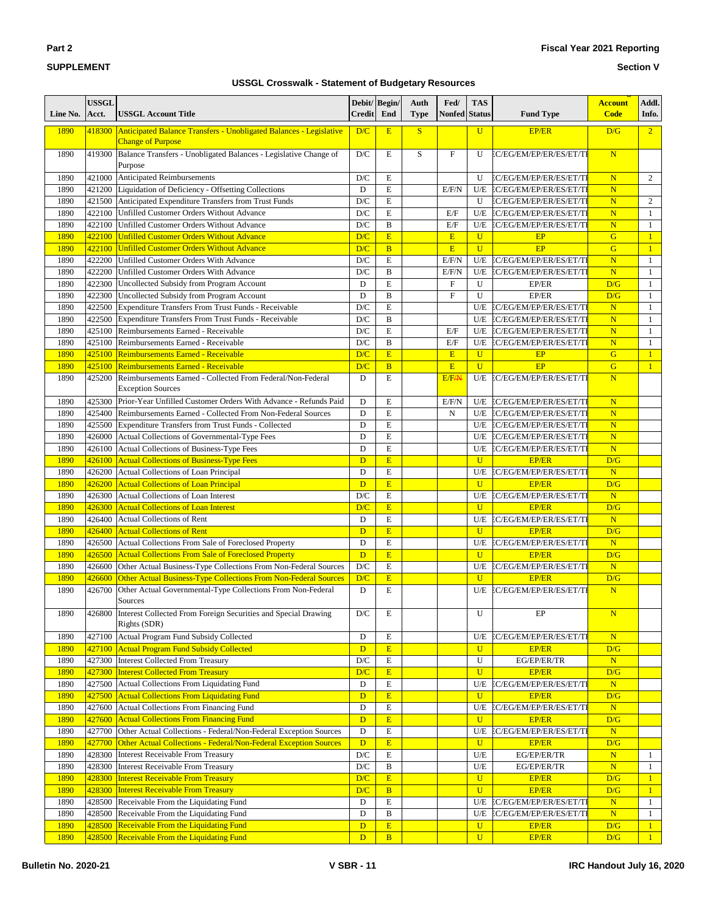**Section V**

| Line No.     | USSGL<br>Acct.   | <b>USSGL Account Title</b>                                                                            | Debit/Begin/<br><b>Credit</b> | End              | Auth<br><b>Type</b> | Fed/<br>Nonfed     | <b>TAS</b><br><b>Status</b>  | <b>Fund Type</b>            | <b>Account</b><br><b>Code</b> | Addl.<br>Info.               |
|--------------|------------------|-------------------------------------------------------------------------------------------------------|-------------------------------|------------------|---------------------|--------------------|------------------------------|-----------------------------|-------------------------------|------------------------------|
| 1890         |                  | 418300 Anticipated Balance Transfers - Unobligated Balances - Legislative<br><b>Change of Purpose</b> | D/C                           | E                | S                   |                    | $\mathbf{U}$                 | <b>EP/ER</b>                | D/G                           | $\overline{2}$               |
| 1890         | 419300           | Balance Transfers - Unobligated Balances - Legislative Change of<br>Purpose                           | D/C                           | E                | S                   | $\mathbf{F}$       | U                            | EC/EG/EM/EP/ER/ES/ET/TI     | N                             |                              |
| 1890         | 421000           | <b>Anticipated Reimbursements</b>                                                                     | D/C                           | E                |                     |                    | U                            | EC/EG/EM/EP/ER/ES/ET/TI     | N                             | $\overline{c}$               |
| 1890         | 421200           | Liquidation of Deficiency - Offsetting Collections                                                    | D                             | E                |                     | E/F/N              |                              | U/E EC/EG/EM/EP/ER/ES/ET/TI | $\overline{\mathbf{N}}$       |                              |
| 1890         | 421500           | Anticipated Expenditure Transfers from Trust Funds                                                    | D/C                           | E                |                     |                    | U                            | EC/EG/EM/EP/ER/ES/ET/TI     | N                             | 2                            |
| 1890         | 422100           | Unfilled Customer Orders Without Advance                                                              | $\mathbf{D}/\mathbf{C}$       | $\mathbf E$      |                     | E/F                | U/E                          | EC/EG/EM/EP/ER/ES/ET/TI     | $\overline{\mathbf{N}}$       | $\mathbf{1}$                 |
| 1890         | 422100           | Unfilled Customer Orders Without Advance                                                              | D/C                           | $\bf{B}$         |                     | E/F                | U/E                          | EC/EG/EM/EP/ER/ES/ET/TI     | $\overline{\mathbf{N}}$       | 1                            |
| 1890         | 422100           | <b>Unfilled Customer Orders Without Advance</b>                                                       | D/C                           | E                |                     | E                  | $\mathbf{U}$                 | EP                          | G                             | 1                            |
| 1890         | 422100           | Unfilled Customer Orders Without Advance                                                              | D/C                           | B                |                     | E                  | $\mathbf{U}$                 | EP                          | G                             | $\mathbf{1}$                 |
| 1890         | 422200           | Unfilled Customer Orders With Advance                                                                 | D/C                           | E                |                     | E/F/N              | U/E                          | EC/EG/EM/EP/ER/ES/ET/TI     | N                             | $\mathbf{1}$                 |
| 1890         | 422200           | Unfilled Customer Orders With Advance                                                                 | D/C                           | B                |                     | E/F/N              | U/E                          | EC/EG/EM/EP/ER/ES/ET/TI     | $\overline{\mathbf{N}}$       | $\mathbf{1}$                 |
| 1890         | 422300           | Uncollected Subsidy from Program Account                                                              | D                             | E                |                     | $\mathbf{F}$       | U                            | EP/ER                       | D/G                           | 1                            |
| 1890         | 422300           | Uncollected Subsidy from Program Account                                                              | D                             | $\, {\bf B}$     |                     | $\mathbf F$        | U                            | EP/ER                       | D/G                           | 1                            |
| 1890         | 422500           | Expenditure Transfers From Trust Funds - Receivable                                                   | D/C                           | E                |                     |                    | U/E                          | EC/EG/EM/EP/ER/ES/ET/TI     | $\overline{\mathbf{N}}$       | 1                            |
| 1890         | 422500           | Expenditure Transfers From Trust Funds - Receivable                                                   | D/C                           | B<br>$\mathbf E$ |                     |                    |                              | U/E EC/EG/EM/EP/ER/ES/ET/TI | $\overline{\mathbf{N}}$       | $\mathbf{1}$                 |
| 1890         | 425100           | Reimbursements Earned - Receivable                                                                    | D/C                           |                  |                     | E/F                | U/E                          | EC/EG/EM/EP/ER/ES/ET/TI     | $\overline{\mathbf{N}}$       | 1                            |
| 1890         | 425100           | Reimbursements Earned - Receivable                                                                    | D/C                           | $\bf{B}$<br>E    |                     | E/F                | U/E                          | EC/EG/EM/EP/ER/ES/ET/TI     | N                             | 1                            |
| 1890<br>1890 | 425100<br>425100 | <b>Reimbursements Earned - Receivable</b><br><b>Reimbursements Earned - Receivable</b>                | D/C<br>D/C                    | B                |                     | E<br>E             | $\mathbf{U}$<br>$\mathbf{U}$ | EP<br>EP                    | G<br>G                        | 1<br>$\mathbf{1}$            |
| 1890         | 425200           | Reimbursements Earned - Collected From Federal/Non-Federal                                            | D                             | E                |                     | E/F <sub>/</sub> N | U/E                          | EC/EG/EM/EP/ER/ES/ET/TI     | N                             |                              |
|              |                  | <b>Exception Sources</b>                                                                              |                               |                  |                     |                    |                              |                             |                               |                              |
| 1890         | 425300           | Prior-Year Unfilled Customer Orders With Advance - Refunds Paid                                       | D                             | E                |                     | E/F/N              |                              | U/E EC/EG/EM/EP/ER/ES/ET/TI | $\overline{\mathbf{N}}$       |                              |
| 1890         | 425400           | Reimbursements Earned - Collected From Non-Federal Sources                                            | $\mathbf D$                   | $\mathbf E$      |                     | N                  | U/E                          | EC/EG/EM/EP/ER/ES/ET/TI     | $\overline{\mathbf{N}}$       |                              |
| 1890         | 425500           | Expenditure Transfers from Trust Funds - Collected                                                    | D                             | E                |                     |                    | U/E                          | EC/EG/EM/EP/ER/ES/ET/TI     | $\overline{\mathbf{N}}$       |                              |
| 1890         | 426000           | Actual Collections of Governmental-Type Fees                                                          | D                             | $\mathbf E$      |                     |                    |                              | U/E EC/EG/EM/EP/ER/ES/ET/TI | $\overline{\mathbf{N}}$       |                              |
| 1890         | 426100           | Actual Collections of Business-Type Fees                                                              | D                             | $\mathbf E$      |                     |                    | U/E                          | EC/EG/EM/EP/ER/ES/ET/TI     | N                             |                              |
| 1890         | 426100           | <b>Actual Collections of Business-Type Fees</b>                                                       | D                             | E                |                     |                    | $\mathbf{U}$                 | <b>EP/ER</b>                | D/G                           |                              |
| 1890         | 426200           | Actual Collections of Loan Principal                                                                  | $\mathbf D$                   | $\mathbf E$      |                     |                    |                              | U/E EC/EG/EM/EP/ER/ES/ET/TI | N                             |                              |
| 1890         | 426200           | <b>Actual Collections of Loan Principal</b>                                                           | D                             | E                |                     |                    | $\mathbf{U}$                 | <b>EP/ER</b>                | D/G                           |                              |
| 1890         | 426300           | Actual Collections of Loan Interest                                                                   | D/C                           | $\mathbf E$      |                     |                    | U/E                          | EC/EG/EM/EP/ER/ES/ET/TI     | $\overline{\mathbf{N}}$       |                              |
| 1890         | 426300           | <b>Actual Collections of Loan Interest</b>                                                            | D/C                           | E                |                     |                    | $\mathbf{U}$                 | <b>EP/ER</b>                | D/G                           |                              |
| 1890         | 426400           | <b>Actual Collections of Rent</b>                                                                     | D                             | E                |                     |                    | U/E                          | EC/EG/EM/EP/ER/ES/ET/TI     | $\overline{\mathbf{N}}$       |                              |
| 1890         | 426400           | <b>Actual Collections of Rent</b>                                                                     | D                             | E                |                     |                    | $\mathbf{U}$                 | <b>EP/ER</b>                | D/G                           |                              |
| 1890         | 426500           | Actual Collections From Sale of Foreclosed Property                                                   | D                             | E                |                     |                    | U/E                          | EC/EG/EM/EP/ER/ES/ET/TI     | ${\bf N}$                     |                              |
| 1890         | 426500           | <b>Actual Collections From Sale of Foreclosed Property</b>                                            | D                             | E                |                     |                    | $\mathbf{U}$                 | EP/ER                       | D/G                           |                              |
| 1890         | 426600           | Other Actual Business-Type Collections From Non-Federal Sources                                       | D/C                           | $\mathbf E$      |                     |                    | U/E                          | EC/EG/EM/EP/ER/ES/ET/TI     | N                             |                              |
| 1890         | 426600           | Other Actual Business-Type Collections From Non-Federal Sources                                       | D/C                           | E                |                     |                    | $\mathbf{U}$                 | <b>EP/ER</b>                | D/G                           |                              |
| 1890         | 426700           | Other Actual Governmental-Type Collections From Non-Federal                                           | D                             | $\mathbf E$      |                     |                    | U/E                          | EC/EG/EM/EP/ER/ES/ET/TI     | N                             |                              |
|              |                  | Sources                                                                                               |                               |                  |                     |                    |                              |                             |                               |                              |
| 1890         | 426800           | Interest Collected From Foreign Securities and Special Drawing                                        | $\mathbf{D}/\mathbf{C}$       | Е                |                     |                    | U                            | EP                          | $\mathbf N$                   |                              |
|              |                  | Rights (SDR)                                                                                          |                               |                  |                     |                    |                              |                             |                               |                              |
| 1890         |                  | 427100 Actual Program Fund Subsidy Collected                                                          | D                             | E                |                     |                    | U/E                          | EC/EG/EM/EP/ER/ES/ET/TI     | N                             |                              |
| 1890         | 427100           | <b>Actual Program Fund Subsidy Collected</b>                                                          | D                             | E                |                     |                    | $\mathbf U$                  | <b>EP/ER</b>                | D/G                           |                              |
| 1890         | 427300           | Interest Collected From Treasury                                                                      | $\mathbf{D}/\mathbf{C}$       | E                |                     |                    | U                            | EG/EP/ER/TR                 | N                             |                              |
| 1890         |                  | 427300 Interest Collected From Treasury                                                               | D/C                           | E                |                     |                    | $\mathbf{U}$                 | <b>EP/ER</b>                | D/G                           |                              |
| 1890         | 427500           | Actual Collections From Liquidating Fund                                                              | D                             | $\mathbf E$      |                     |                    | U/E                          | EC/EG/EM/EP/ER/ES/ET/TI     | ${\bf N}$                     |                              |
| 1890         | 427500           | <b>Actual Collections From Liquidating Fund</b>                                                       | $\mathbf{D}$                  | $\mathbf E$      |                     |                    | $\mathbf U$                  | EP/ER                       | D/G                           |                              |
| 1890         | 427600           | Actual Collections From Financing Fund                                                                | D                             | $\mathbf E$      |                     |                    | U/E                          | EC/EG/EM/EP/ER/ES/ET/TI     | ${\bf N}$                     |                              |
| 1890         | 427600           | <b>Actual Collections From Financing Fund</b>                                                         | D                             | E                |                     |                    | $\mathbf{U}$                 | <b>EP/ER</b>                | D/G                           |                              |
| 1890         | 427700           | Other Actual Collections - Federal/Non-Federal Exception Sources                                      | $\mathbf D$                   | $\mathbf E$      |                     |                    | $U\!/\!E$                    | EC/EG/EM/EP/ER/ES/ET/TI     | ${\bf N}$                     |                              |
| 1890         | 427700           | Other Actual Collections - Federal/Non-Federal Exception Sources                                      | $\mathbf{D}$                  | $\mathbf E$      |                     |                    | $\mathbf{U}$                 | <b>EP/ER</b>                | D/G                           |                              |
| 1890         | 428300           | <b>Interest Receivable From Treasury</b>                                                              | $\mathbf{D}/\mathbf{C}$       | $\mathbf E$      |                     |                    | $U\!/\!E$                    | EG/EP/ER/TR                 | ${\bf N}$                     | $\mathbf{1}$                 |
| 1890         | 428300           | <b>Interest Receivable From Treasury</b>                                                              | $\mathbf{D}/\mathbf{C}$       | $\, {\bf B}$     |                     |                    | U/E                          | EG/EP/ER/TR                 | $\overline{\text{N}}$         | $\mathbf{1}$                 |
| 1890         | 428300           | <b>Interest Receivable From Treasury</b>                                                              | D/C                           | E                |                     |                    | $\mathbf{U}$                 | EP/ER                       | D/G                           | $\mathbf{1}$                 |
| 1890         |                  | 428300 Interest Receivable From Treasury                                                              | D/C                           | $\overline{B}$   |                     |                    | $\overline{U}$               | EP/ER                       | D/G                           | $\mathbf{1}$                 |
| 1890         | 428500           | Receivable From the Liquidating Fund                                                                  | D                             | $\mathbf E$      |                     |                    | U/E                          | EC/EG/EM/EP/ER/ES/ET/TI     | ${\bf N}$                     | $\mathbf{1}$                 |
| 1890         | 428500           | Receivable From the Liquidating Fund                                                                  | D                             | B                |                     |                    | U/E<br>$\mathbf{U}$          | EC/EG/EM/EP/ER/ES/ET/TI     | $\mathbf N$                   | $\mathbf{1}$                 |
| 1890<br>1890 | 428500           | Receivable From the Liquidating Fund<br>428500 Receivable From the Liquidating Fund                   | D<br>D                        | $\mathbf E$<br>B |                     |                    | $\mathbf{U}$                 | EP/ER<br><b>EP/ER</b>       | D/G<br>D/G                    | $\mathbf{1}$<br>$\mathbf{1}$ |
|              |                  |                                                                                                       |                               |                  |                     |                    |                              |                             |                               |                              |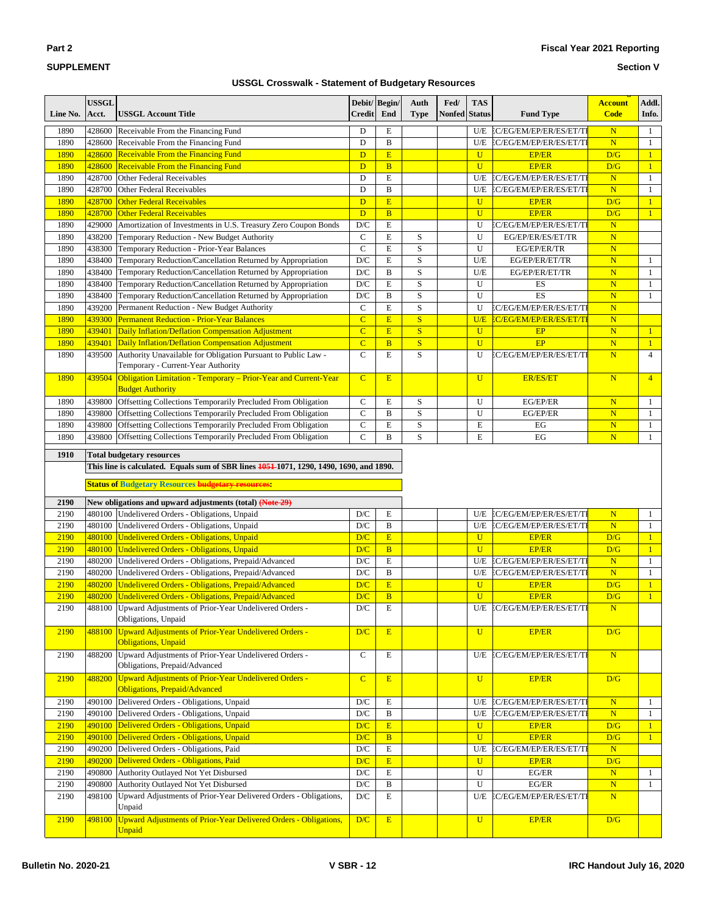#### **Section V**

| Line No.     | <b>USSGL</b><br>Acct.                                                                                                                                | <b>USSGL Account Title</b>                                                                                  | Debit/Begin/<br><b>Credit</b> | End            | Auth<br><b>Type</b> | Fed/<br><b>Nonfed</b> | <b>TAS</b><br><b>Status</b> | <b>Fund Type</b>                                   | <b>Account</b><br><b>Code</b> | Addl.<br>Info.               |
|--------------|------------------------------------------------------------------------------------------------------------------------------------------------------|-------------------------------------------------------------------------------------------------------------|-------------------------------|----------------|---------------------|-----------------------|-----------------------------|----------------------------------------------------|-------------------------------|------------------------------|
|              |                                                                                                                                                      |                                                                                                             |                               |                |                     |                       |                             |                                                    |                               |                              |
| 1890<br>1890 | 428600<br>428600                                                                                                                                     | Receivable From the Financing Fund<br>Receivable From the Financing Fund                                    | D<br>D                        | Е<br>B         |                     |                       | U/E<br>U/E                  | EC/EG/EM/EP/ER/ES/ET/TI<br>EC/EG/EM/EP/ER/ES/ET/TI | N<br>$\overline{\mathbf{N}}$  | $\mathbf{1}$<br>$\mathbf{1}$ |
| 1890         |                                                                                                                                                      | 428600 Receivable From the Financing Fund                                                                   | $\mathbf{D}$                  | E              |                     |                       | $\mathbf{U}$                | <b>EP/ER</b>                                       | D/G                           | $\mathbf{1}$                 |
| 1890         |                                                                                                                                                      | 428600 Receivable From the Financing Fund                                                                   | $\overline{D}$                | $\overline{B}$ |                     |                       | $\mathbf{U}$                | <b>EP/ER</b>                                       | D/G                           | $\mathbf{1}$                 |
| 1890         | 428700                                                                                                                                               | Other Federal Receivables                                                                                   | D                             | E              |                     |                       | U/E                         | EC/EG/EM/EP/ER/ES/ET/TI                            | $\overline{\mathbf{N}}$       | $\mathbf{1}$                 |
| 1890         | 428700                                                                                                                                               | Other Federal Receivables                                                                                   | D                             | B              |                     |                       | U/E                         | EC/EG/EM/EP/ER/ES/ET/TI                            | $\mathbf N$                   | $\mathbf{1}$                 |
| 1890         | 428700                                                                                                                                               | <b>Other Federal Receivables</b>                                                                            | D                             | E              |                     |                       | $\mathbf{U}$                | <b>EP/ER</b>                                       | D/G                           | 1                            |
| 1890         |                                                                                                                                                      | 428700 Other Federal Receivables                                                                            | D                             | $\overline{B}$ |                     |                       | $\mathbf{U}$                | <b>EP/ER</b>                                       | D/G                           | $\mathbf{1}$                 |
| 1890         | 429000                                                                                                                                               | Amortization of Investments in U.S. Treasury Zero Coupon Bonds                                              | D/C                           | E              |                     |                       | U                           | EC/EG/EM/EP/ER/ES/ET/TI                            | $\overline{\mathbf{N}}$       |                              |
| 1890         | 438200                                                                                                                                               | Temporary Reduction - New Budget Authority                                                                  | $\mathsf{C}$                  | E              | S                   |                       | U                           | EG/EP/ER/ES/ET/TR                                  | $\overline{\mathbf{N}}$       |                              |
| 1890         | 438300                                                                                                                                               | Temporary Reduction - Prior-Year Balances                                                                   | ${\bf C}$                     | E              | S                   |                       | U                           | EG/EP/ER/TR                                        | $\mathbf N$                   |                              |
| 1890         | 438400                                                                                                                                               | Temporary Reduction/Cancellation Returned by Appropriation                                                  | D/C                           | E              | S                   |                       | U/E                         | EG/EP/ER/ET/TR                                     | $\overline{\mathbf{N}}$       | $\mathbf{1}$                 |
| 1890         | 438400                                                                                                                                               | Temporary Reduction/Cancellation Returned by Appropriation                                                  | D/C                           | B              | S                   |                       | U/E                         | EG/EP/ER/ET/TR                                     | N                             | $\mathbf{1}$                 |
| 1890         | 438400                                                                                                                                               | Temporary Reduction/Cancellation Returned by Appropriation                                                  | D/C                           | E              | S                   |                       | U                           | ES                                                 | N                             | $\mathbf{1}$                 |
| 1890         | 438400                                                                                                                                               | Temporary Reduction/Cancellation Returned by Appropriation                                                  | D/C                           | B              | S                   |                       | U                           | ES                                                 | N                             | 1                            |
| 1890         | 439200                                                                                                                                               | Permanent Reduction - New Budget Authority                                                                  | $\mathbf C$                   | E              | S                   |                       | U                           | EC/EG/EM/EP/ER/ES/ET/TI                            | $\overline{\mathbf{N}}$       |                              |
| 1890         | 439300                                                                                                                                               | Permanent Reduction - Prior-Year Balances                                                                   | $\overline{C}$                | E              | S                   |                       | U/E                         | EC/EG/EM/EP/ER/ES/ET/TI                            | $\overline{\mathbf{N}}$       |                              |
| 1890         | 439401                                                                                                                                               | Daily Inflation/Deflation Compensation Adjustment                                                           | $\overline{C}$                | E              | S                   |                       | $\mathbf{U}$                | EP                                                 | $\overline{\mathbf{N}}$       | $\mathbf{1}$                 |
| 1890         | 439401                                                                                                                                               | <b>Daily Inflation/Deflation Compensation Adjustment</b>                                                    | $\overline{C}$                | $\overline{B}$ | S                   |                       | $\mathbf{U}$                | EP                                                 | $\overline{\mathbf{N}}$       | $\mathbf{1}$                 |
| 1890         | 439500                                                                                                                                               | Authority Unavailable for Obligation Pursuant to Public Law -                                               | $\mathsf{C}$                  | E              | S                   |                       | U                           | EC/EG/EM/EP/ER/ES/ET/TI                            | N                             | $\overline{4}$               |
|              |                                                                                                                                                      | Temporary - Current-Year Authority                                                                          |                               |                |                     |                       |                             |                                                    |                               |                              |
| 1890         | 439504                                                                                                                                               | Obligation Limitation - Temporary - Prior-Year and Current-Year<br><b>Budget Authority</b>                  | $\overline{C}$                | E              |                     |                       | $\overline{U}$              | <b>ER/ES/ET</b>                                    | N                             | $\overline{4}$               |
| 1890         | 439800                                                                                                                                               | Offsetting Collections Temporarily Precluded From Obligation                                                | $\mathbf C$                   | Е              | S                   |                       | U                           | EG/EP/ER                                           | $\overline{\mathbf{N}}$       | 1                            |
| 1890         | 439800                                                                                                                                               | Offsetting Collections Temporarily Precluded From Obligation                                                | $\mathbf C$                   | B              | S                   |                       | U                           | EG/EP/ER                                           | $\overline{\mathbf{N}}$       | $\mathbf{1}$                 |
| 1890         | 439800                                                                                                                                               | Offsetting Collections Temporarily Precluded From Obligation                                                | $\mathbf C$                   | E              | S                   |                       | E                           | EG                                                 | $\mathbf N$                   | $\mathbf{1}$                 |
| 1890         | 439800                                                                                                                                               | Offsetting Collections Temporarily Precluded From Obligation                                                | $\mathbf C$                   | B              | S                   |                       | E                           | EG                                                 | $\overline{\mathbf{N}}$       | $\mathbf{1}$                 |
| 1910         |                                                                                                                                                      | <b>Total budgetary resources</b>                                                                            |                               |                |                     |                       |                             |                                                    |                               |                              |
| 2190         | This line is calculated. Equals sum of SBR lines 1051–1071, 1290, 1490, 1690, and 1890.<br><b>Status of Budgetary Resources budgetary resources:</b> |                                                                                                             |                               |                |                     |                       |                             |                                                    |                               |                              |
| 2190         |                                                                                                                                                      | New obligations and upward adjustments (total) (Note 29)<br>480100 Undelivered Orders - Obligations, Unpaid | D/C                           | Е              |                     |                       | U/E                         | EC/EG/EM/EP/ER/ES/ET/TI                            | N                             | 1                            |
| 2190         |                                                                                                                                                      | 480100 Undelivered Orders - Obligations, Unpaid                                                             | D/C                           | B              |                     |                       | U/E                         | EC/EG/EM/EP/ER/ES/ET/TI                            | ${\bf N}$                     | $\mathbf{1}$                 |
| 2190         |                                                                                                                                                      | 480100 Undelivered Orders - Obligations, Unpaid                                                             | D/C                           | E              |                     |                       | $\mathbf{U}$                | <b>EP/ER</b>                                       | D/G                           | $\mathbf{1}$                 |
| 2190         |                                                                                                                                                      | 480100 Undelivered Orders - Obligations, Unpaid                                                             | D/C                           | $\overline{B}$ |                     |                       | $\mathbf{U}$                | <b>EP/ER</b>                                       | D/G                           | $\mathbf{1}$                 |
| 2190         |                                                                                                                                                      | 480200 Undelivered Orders - Obligations, Prepaid/Advanced                                                   | D/C                           | E              |                     |                       | U/E                         | EC/EG/EM/EP/ER/ES/ET/TI                            | $\overline{\mathbf{N}}$       | $\mathbf{1}$                 |
| 2190         |                                                                                                                                                      | 480200 Undelivered Orders - Obligations, Prepaid/Advanced                                                   | D/C                           | B              |                     |                       | U/E                         | EC/EG/EM/EP/ER/ES/ET/TI                            | ${\bf N}$                     | $\mathbf{1}$                 |
| 2190         |                                                                                                                                                      | 480200 Undelivered Orders - Obligations, Prepaid/Advanced                                                   | D/C                           | E              |                     |                       | $\mathbf U$                 | <b>EP/ER</b>                                       | D/G                           | $\mathbf{1}$                 |
| 2190         |                                                                                                                                                      | 480200 Undelivered Orders - Obligations, Prepaid/Advanced                                                   | D/C                           | $\overline{B}$ |                     |                       | $\mathbf{U}$                | <b>EP/ER</b>                                       | D/G                           | $\mathbf{1}$                 |
| 2190         |                                                                                                                                                      | 488100 Upward Adjustments of Prior-Year Undelivered Orders                                                  | $\overline{{\rm D/C}}$        | E              |                     |                       |                             | U/E C/EG/EM/EP/ER/ES/ET/TI                         | $\overline{\mathbf{N}}$       |                              |
|              |                                                                                                                                                      | Obligations, Unpaid                                                                                         |                               |                |                     |                       |                             |                                                    |                               |                              |
| 2190         | 488100                                                                                                                                               | Upward Adjustments of Prior-Year Undelivered Orders -<br><b>Obligations</b> , Unpaid                        | D/C                           | E              |                     |                       | $\mathbf{U}$                | <b>EP/ER</b>                                       | D/G                           |                              |
| 2190         | 488200                                                                                                                                               | Upward Adjustments of Prior-Year Undelivered Orders -<br>Obligations, Prepaid/Advanced                      | $\mathsf{C}$                  | Е              |                     |                       | U/E                         | EC/EG/EM/EP/ER/ES/ET/TI                            | $\overline{\mathbf{N}}$       |                              |
| 2190         | 488200                                                                                                                                               | Upward Adjustments of Prior-Year Undelivered Orders -<br><b>Obligations, Prepaid/Advanced</b>               | $\overline{C}$                | E              |                     |                       | $\mathbf{U}$                | <b>EP/ER</b>                                       | D/G                           |                              |
| 2190         |                                                                                                                                                      | 490100 Delivered Orders - Obligations, Unpaid                                                               | D/C                           | Е              |                     |                       | U/E                         | EC/EG/EM/EP/ER/ES/ET/TI                            | N                             | 1                            |
| 2190         |                                                                                                                                                      | 490100 Delivered Orders - Obligations, Unpaid                                                               | $\mathbf{D}/\mathbf{C}$       | $\, {\bf B}$   |                     |                       | U/E                         | EC/EG/EM/EP/ER/ES/ET/TI                            | $\mathbf N$                   | 1                            |
| 2190         |                                                                                                                                                      | 490100 Delivered Orders - Obligations, Unpaid                                                               | D/C                           | E              |                     |                       | $\mathbf{U}$                | <b>EP/ER</b>                                       | D/G                           | $\mathbf{1}$                 |
| 2190         |                                                                                                                                                      | 490100 Delivered Orders - Obligations, Unpaid                                                               | D/C                           | $\mathbf{B}$   |                     |                       | $\mathbf{U}$                | <b>EP/ER</b>                                       | D/G                           | $\mathbf{1}$                 |
| 2190         |                                                                                                                                                      | 490200 Delivered Orders - Obligations, Paid                                                                 | $\mathbf{D}/\mathbf{C}$       | Е              |                     |                       | U/E                         | EC/EG/EM/EP/ER/ES/ET/TI                            | $\mathbf N$                   |                              |
| 2190         |                                                                                                                                                      | 490200 Delivered Orders - Obligations, Paid                                                                 | D/C                           | E              |                     |                       | $\mathbf{U}$                | <b>EP/ER</b>                                       | D/G                           |                              |
| 2190         | 490800                                                                                                                                               | Authority Outlayed Not Yet Disbursed                                                                        | $\mathbf{D}/\mathbf{C}$       | E              |                     |                       | U                           | EG/ER                                              | $\overline{\mathbf{N}}$       | 1                            |
| 2190         | 490800                                                                                                                                               | Authority Outlayed Not Yet Disbursed                                                                        | $\mathbf{D}/\mathbf{C}$       | B              |                     |                       | U                           | EG/ER                                              | N                             | $\mathbf{1}$                 |
| 2190         | 498100                                                                                                                                               | Upward Adjustments of Prior-Year Delivered Orders - Obligations,                                            | $\mathbf{D}/\mathbf{C}$       | Е              |                     |                       | U/E                         | EC/EG/EM/EP/ER/ES/ET/TI                            | $\overline{\mathbf{N}}$       |                              |
| 2190         | 498100                                                                                                                                               | Unpaid<br>Upward Adjustments of Prior-Year Delivered Orders - Obligations,                                  | D/C                           | E              |                     |                       | $\mathbf U$                 | <b>EP/ER</b>                                       | D/G                           |                              |
|              |                                                                                                                                                      | <b>Unpaid</b>                                                                                               |                               |                |                     |                       |                             |                                                    |                               |                              |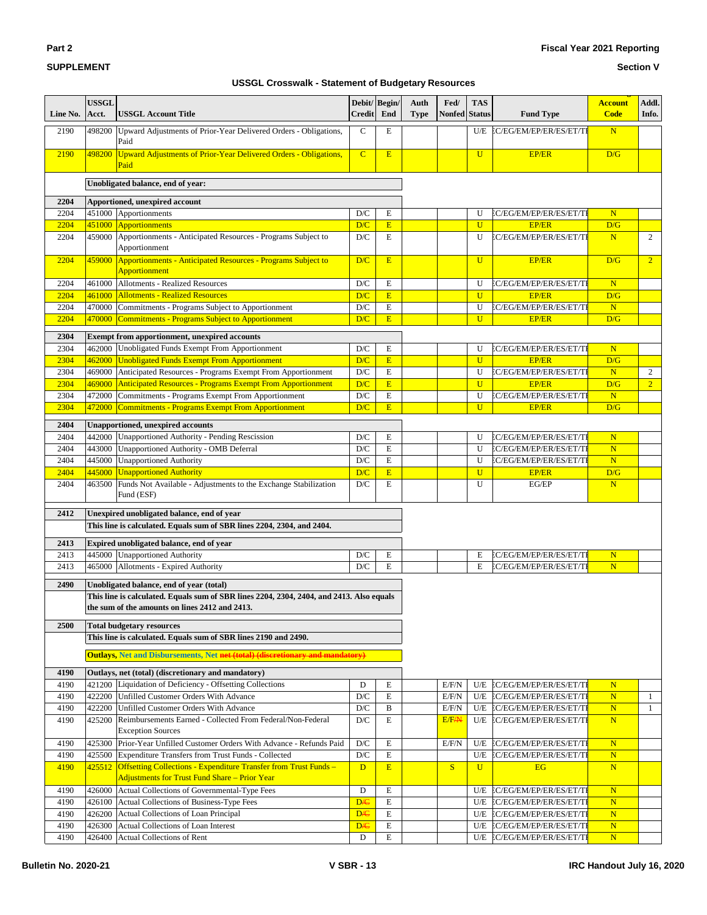#### **Section V**

| Line No.     | <b>USSGL</b><br>Acct. | <b>USSGL Account Title</b>                                                                                                      | <b>Credit</b>           | Debit/ Begin/<br>End | Auth<br><b>Type</b> | Fed/<br><b>Nonfed</b> | <b>TAS</b><br><b>Status</b> | <b>Fund Type</b>            | <b>Account</b><br><b>Code</b> | Addl.<br>Info. |
|--------------|-----------------------|---------------------------------------------------------------------------------------------------------------------------------|-------------------------|----------------------|---------------------|-----------------------|-----------------------------|-----------------------------|-------------------------------|----------------|
| 2190         | 498200                | Upward Adjustments of Prior-Year Delivered Orders - Obligations,<br>Paid                                                        | $\mathbf C$             | Е                    |                     |                       |                             | U/E EC/EG/EM/EP/ER/ES/ET/TI | N                             |                |
| 2190         | 498200                | <b>Upward Adjustments of Prior-Year Delivered Orders - Obligations,</b><br>Paid                                                 | $\overline{C}$          | E                    |                     |                       | $\mathbf{U}$                | EP/ER                       | D/G                           |                |
|              |                       | Unobligated balance, end of year:                                                                                               |                         |                      |                     |                       |                             |                             |                               |                |
| 2204         |                       | Apportioned, unexpired account                                                                                                  |                         |                      |                     |                       |                             |                             |                               |                |
| 2204         |                       | 451000 Apportionments                                                                                                           | D/C                     | Е                    |                     |                       | U                           | EC/EG/EM/EP/ER/ES/ET/TI     | N                             |                |
| 2204         |                       | 451000 Apportionments                                                                                                           | D/C                     | $\mathbf E$          |                     |                       | $\overline{U}$              | <b>EP/ER</b>                | D/G                           |                |
| 2204         |                       | 459000 Apportionments - Anticipated Resources - Programs Subject to<br>Apportionment                                            | D/C                     | E                    |                     |                       | U                           | EC/EG/EM/EP/ER/ES/ET/TI     | N                             | $\overline{2}$ |
| 2204         |                       | 459000 Apportionments - Anticipated Resources - Programs Subject to<br><b>Apportionment</b>                                     | D/C                     | E                    |                     |                       | $\mathbf U$                 | <b>EP/ER</b>                | D/G                           | $\overline{2}$ |
| 2204         |                       | 461000 Allotments - Realized Resources                                                                                          | D/C                     | E                    |                     |                       | U                           | EC/EG/EM/EP/ER/ES/ET/TI     | N                             |                |
| 2204         |                       | 461000 Allotments - Realized Resources                                                                                          | D/C                     | E                    |                     |                       | $\overline{U}$              | <b>EP/ER</b>                | D/G                           |                |
| 2204         |                       | 470000 Commitments - Programs Subject to Apportionment                                                                          | $\mathbf{D}/\mathbf{C}$ | Е                    |                     |                       | U                           | EC/EG/EM/EP/ER/ES/ET/TI     | N                             |                |
| 2204         |                       | 470000 Commitments - Programs Subject to Apportionment                                                                          | D/C                     | E                    |                     |                       | $\mathbf{U}$                | <b>EP/ER</b>                | D/G                           |                |
| 2304<br>2304 |                       | Exempt from apportionment, unexpired accounts<br>462000 Unobligated Funds Exempt From Apportionment                             | D/C                     | E                    |                     |                       | U                           | EC/EG/EM/EP/ER/ES/ET/TI     | N                             |                |
| 2304         |                       | 462000 Unobligated Funds Exempt From Apportionment                                                                              | D/C                     | E                    |                     |                       | $\overline{U}$              | <b>EP/ER</b>                | D/G                           |                |
| 2304         |                       | 469000 Anticipated Resources - Programs Exempt From Apportionment                                                               | D/C                     | E                    |                     |                       | U                           | EC/EG/EM/EP/ER/ES/ET/TI     | $\overline{\mathbf{N}}$       | 2              |
| 2304         |                       | 469000 Anticipated Resources - Programs Exempt From Apportionment                                                               | D/C                     | E                    |                     |                       | $\mathbf{U}$                | <b>EP/ER</b>                | D/G                           | $\overline{2}$ |
| 2304         | 472000                | Commitments - Programs Exempt From Apportionment                                                                                | $\mathbf{D}/\mathbf{C}$ | E                    |                     |                       | U                           | EC/EG/EM/EP/ER/ES/ET/TI     | ${\bf N}$                     |                |
| 2304         |                       | 472000 Commitments - Programs Exempt From Apportionment                                                                         | D/C                     | E                    |                     |                       | $\mathbf{U}$                | <b>EP/ER</b>                | D/G                           |                |
| 2404         |                       | <b>Unapportioned, unexpired accounts</b>                                                                                        |                         |                      |                     |                       |                             |                             |                               |                |
| 2404         |                       | 442000   Unapportioned Authority - Pending Rescission                                                                           | D/C                     | E                    |                     |                       | U                           | EC/EG/EM/EP/ER/ES/ET/TI     | N                             |                |
| 2404         |                       | 443000 Unapportioned Authority - OMB Deferral                                                                                   | D/C                     | Е                    |                     |                       | U                           | EC/EG/EM/EP/ER/ES/ET/TI     | $\overline{\mathbf{N}}$       |                |
| 2404         |                       | 445000 Unapportioned Authority                                                                                                  | D/C                     | Е                    |                     |                       | U                           | EC/EG/EM/EP/ER/ES/ET/TI     | N                             |                |
| 2404         |                       | 445000 Unapportioned Authority                                                                                                  | D/C                     | E                    |                     |                       | $\mathbf{U}$                | <b>EP/ER</b>                | D/G                           |                |
| 2404         | 463500                | Funds Not Available - Adjustments to the Exchange Stabilization<br>Fund (ESF)                                                   | D/C                     | E                    |                     |                       | U                           | EG/EP                       | $\overline{\mathbf{N}}$       |                |
| 2412         |                       | Unexpired unobligated balance, end of year                                                                                      |                         |                      |                     |                       |                             |                             |                               |                |
|              |                       | This line is calculated. Equals sum of SBR lines 2204, 2304, and 2404.                                                          |                         |                      |                     |                       |                             |                             |                               |                |
| 2413         |                       | Expired unobligated balance, end of year                                                                                        |                         |                      |                     |                       |                             |                             |                               |                |
| 2413         |                       | 445000 Unapportioned Authority                                                                                                  | D/C                     | E                    |                     |                       | Ε                           | EC/EG/EM/EP/ER/ES/ET/TI     | N                             |                |
| 2413         |                       | 465000 Allotments - Expired Authority                                                                                           | D/C                     | Е                    |                     |                       | E                           | EC/EG/EM/EP/ER/ES/ET/TI     | $\overline{\mathbf{N}}$       |                |
| 2490         |                       | Unobligated balance, end of year (total)                                                                                        |                         |                      |                     |                       |                             |                             |                               |                |
|              |                       | This line is calculated. Equals sum of SBR lines 2204, 2304, 2404, and 2413. Also equals                                        |                         |                      |                     |                       |                             |                             |                               |                |
|              |                       | the sum of the amounts on lines 2412 and 2413.                                                                                  |                         |                      |                     |                       |                             |                             |                               |                |
| 2500         |                       | <b>Total budgetary resources</b>                                                                                                |                         |                      |                     |                       |                             |                             |                               |                |
|              |                       | This line is calculated. Equals sum of SBR lines 2190 and 2490.                                                                 |                         |                      |                     |                       |                             |                             |                               |                |
|              |                       | <b>Outlays, Net and Disbursements, Net net (total) (discretionary and mandatory)</b>                                            |                         |                      |                     |                       |                             |                             |                               |                |
| 4190         |                       | Outlays, net (total) (discretionary and mandatory)                                                                              |                         |                      |                     |                       |                             |                             |                               |                |
| 4190         |                       | 421200 Liquidation of Deficiency - Offsetting Collections                                                                       | D                       | Е                    |                     | E/F/N                 | U/E                         | EC/EG/EM/EP/ER/ES/ET/TI     | $\mathbf N$                   |                |
| 4190         |                       | 422200 Unfilled Customer Orders With Advance                                                                                    | D/C                     | E                    |                     | E/F/N                 | U/E                         | EC/EG/EM/EP/ER/ES/ET/TI     | $\overline{\mathbf{N}}$       | $\mathbf{1}$   |
| 4190         |                       | 422200 Unfilled Customer Orders With Advance                                                                                    | $\mathbf{D}/\mathbf{C}$ | B                    |                     | E/F/N                 | U/E                         | EC/EG/EM/EP/ER/ES/ET/TI     | N                             | $\mathbf{1}$   |
| 4190         |                       | 425200 Reimbursements Earned - Collected From Federal/Non-Federal<br><b>Exception Sources</b>                                   | D/C                     | E                    |                     | E/F <sub>/</sub> N    | U/E                         | EC/EG/EM/EP/ER/ES/ET/TI     | N                             |                |
| 4190         |                       | 425300 Prior-Year Unfilled Customer Orders With Advance - Refunds Paid                                                          | D/C                     | Е                    |                     | E/F/N                 | U/E                         | EC/EG/EM/EP/ER/ES/ET/TI     | $\mathbf N$                   |                |
| 4190         |                       | 425500 Expenditure Transfers from Trust Funds - Collected                                                                       | D/C                     | E                    |                     |                       | U/E                         | EC/EG/EM/EP/ER/ES/ET/TI     | $\mathbf N$                   |                |
| 4190         |                       | 425512 Offsetting Collections - Expenditure Transfer from Trust Funds -<br><b>Adjustments for Trust Fund Share - Prior Year</b> | D                       | E                    |                     | S                     | $\mathbf{U}$                | EG                          | N                             |                |
| 4190         |                       | 426000 Actual Collections of Governmental-Type Fees                                                                             | D                       | E                    |                     |                       |                             | U/E EC/EG/EM/EP/ER/ES/ET/TI | $\overline{\mathbf{N}}$       |                |
| 4190         |                       | 426100 Actual Collections of Business-Type Fees                                                                                 | <b>D/C</b>              | E                    |                     |                       | U/E                         | EC/EG/EM/EP/ER/ES/ET/TI     | $\overline{\mathbf{N}}$       |                |
| 4190         |                       | 426200 Actual Collections of Loan Principal                                                                                     | <b>D/C</b>              | Е                    |                     |                       | U/E                         | EC/EG/EM/EP/ER/ES/ET/TI     | $\overline{\mathbf{N}}$       |                |
| 4190         |                       | 426300 Actual Collections of Loan Interest                                                                                      | <b>D/C</b>              | Е                    |                     |                       | U/E                         | EC/EG/EM/EP/ER/ES/ET/TI     | $\mathbf N$                   |                |
| 4190         |                       | 426400 Actual Collections of Rent                                                                                               | D                       | E                    |                     |                       |                             | U/E EC/EG/EM/EP/ER/ES/ET/TI | $\mathbf N$                   |                |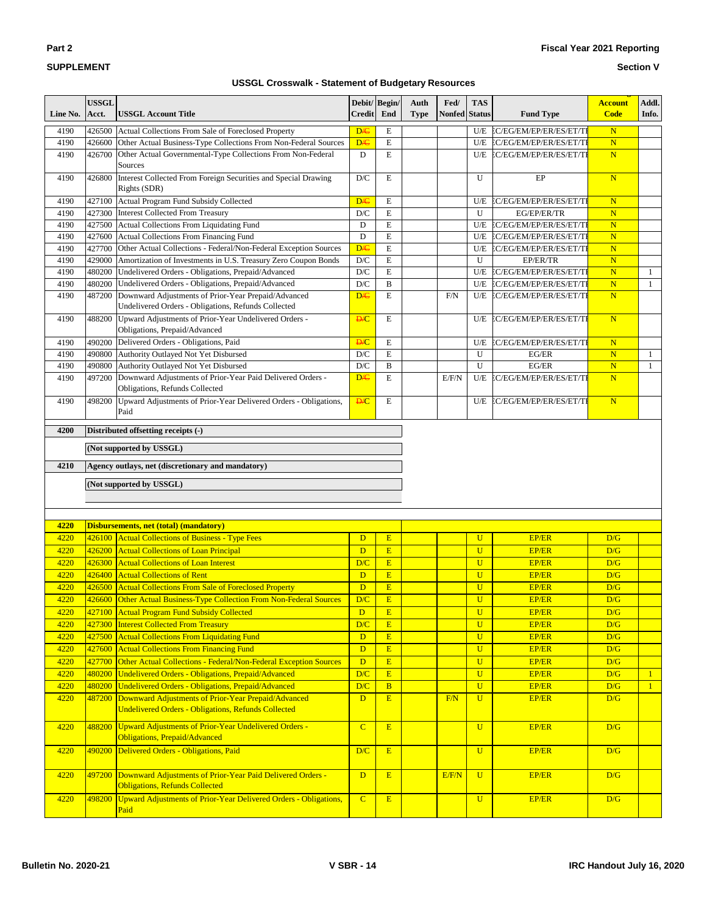## **Section V**

| Line No. | <b>USSGL</b><br>Acct.    | <b>USSGL Account Title</b>                                                                                 | <b>Credit</b>           | Debit/Begin/<br>End | Auth<br><b>Type</b> | Fed/<br><b>Nonfed</b> | <b>TAS</b><br><b>Status</b> | <b>Fund Type</b>            | <b>Account</b><br><b>Code</b> | Addl.<br>Info. |
|----------|--------------------------|------------------------------------------------------------------------------------------------------------|-------------------------|---------------------|---------------------|-----------------------|-----------------------------|-----------------------------|-------------------------------|----------------|
| 4190     | 426500                   | Actual Collections From Sale of Foreclosed Property                                                        | D <sub>/C</sub>         | $\mathbf E$         |                     |                       |                             | U/E EC/EG/EM/EP/ER/ES/ET/TI | $\mathbf N$                   |                |
| 4190     | 426600                   | Other Actual Business-Type Collections From Non-Federal Sources                                            | D <sub>/C</sub>         | $\mathbf E$         |                     |                       | U/E                         | EC/EG/EM/EP/ER/ES/ET/TI     | $\overline{\mathbf{N}}$       |                |
| 4190     | 426700                   | Other Actual Governmental-Type Collections From Non-Federal<br>Sources                                     | D                       | E                   |                     |                       | U/E                         | EC/EG/EM/EP/ER/ES/ET/TI     | N                             |                |
| 4190     | 426800                   | Interest Collected From Foreign Securities and Special Drawing<br>Rights (SDR)                             | $\mathbf{D}/\mathbf{C}$ | E                   |                     |                       | U                           | EP                          | $\overline{\mathbf{N}}$       |                |
| 4190     | 427100                   | Actual Program Fund Subsidy Collected                                                                      | D/C                     | E                   |                     |                       | U/E                         | EC/EG/EM/EP/ER/ES/ET/TI     | $\mathbf N$                   |                |
| 4190     | 427300                   | <b>Interest Collected From Treasury</b>                                                                    | D/C                     | $\mathbf E$         |                     |                       | U                           | EG/EP/ER/TR                 | $\overline{\mathbf{N}}$       |                |
| 4190     | 427500                   | Actual Collections From Liquidating Fund                                                                   | D                       | $\mathbf E$         |                     |                       | U/E                         | EC/EG/EM/EP/ER/ES/ET/TI     | $\overline{\mathbf{N}}$       |                |
| 4190     |                          | 427600 Actual Collections From Financing Fund                                                              | D                       | $\mathbf E$         |                     |                       | U/E                         | EC/EG/EM/EP/ER/ES/ET/TI     | $\mathbf N$                   |                |
| 4190     | 427700                   | Other Actual Collections - Federal/Non-Federal Exception Sources                                           | <b>D/C</b>              | $\mathbf E$         |                     |                       | U/E                         | EC/EG/EM/EP/ER/ES/ET/TI     | $\overline{\mathbf{N}}$       |                |
| 4190     | 429000                   | Amortization of Investments in U.S. Treasury Zero Coupon Bonds                                             | $\mathbf{D}/\mathbf{C}$ | E                   |                     |                       | U                           | EP/ER/TR                    | $\overline{\mathbf{N}}$       |                |
| 4190     | 480200                   | Undelivered Orders - Obligations, Prepaid/Advanced                                                         | $\mathbf{D}/\mathbf{C}$ | $\mathbf E$         |                     |                       | U/E                         | EC/EG/EM/EP/ER/ES/ET/TI     | $\overline{\mathbf{N}}$       | 1              |
| 4190     | 480200                   | Undelivered Orders - Obligations, Prepaid/Advanced                                                         | $\mathbf{D}/\mathbf{C}$ | $\, {\bf B}$        |                     |                       | U/E                         | EC/EG/EM/EP/ER/ES/ET/TI     | $\overline{\mathbf{N}}$       | $\mathbf{1}$   |
| 4190     | 487200                   | Downward Adjustments of Prior-Year Prepaid/Advanced<br>Undelivered Orders - Obligations, Refunds Collected | D <sub>/C</sub>         | E                   |                     | F/N                   | U/E                         | EC/EG/EM/EP/ER/ES/ET/TI     | N                             |                |
| 4190     | 488200                   | Upward Adjustments of Prior-Year Undelivered Orders -<br>Obligations, Prepaid/Advanced                     | <b>D/C</b>              | E                   |                     |                       | U/E                         | EC/EG/EM/EP/ER/ES/ET/TI     | $\mathbf N$                   |                |
| 4190     | 490200                   | Delivered Orders - Obligations, Paid                                                                       | <b>D/C</b>              | $\mathbf E$         |                     |                       | U/E                         | EC/EG/EM/EP/ER/ES/ET/TI     | $\mathbf N$                   |                |
| 4190     | 490800                   | Authority Outlayed Not Yet Disbursed                                                                       | $\mathbf{D}/\mathbf{C}$ | $\mathbf E$         |                     |                       | U                           | EG/ER                       | $\overline{\mathbf{N}}$       | 1              |
| 4190     | 490800                   | Authority Outlayed Not Yet Disbursed                                                                       | $\mathbf{D}/\mathbf{C}$ | $\, {\bf B}$        |                     |                       | U                           | EG/ER                       | $\overline{\mathbf{N}}$       | $\mathbf{1}$   |
| 4190     | 497200                   | Downward Adjustments of Prior-Year Paid Delivered Orders -<br>Obligations, Refunds Collected               | <b>D/C</b>              | E                   |                     | E/F/N                 | U/E                         | EC/EG/EM/EP/ER/ES/ET/TI     | N                             |                |
| 4190     | 498200                   | Upward Adjustments of Prior-Year Delivered Orders - Obligations,<br>Paid                                   | <b>D/C</b>              | E                   |                     |                       | U/E                         | EC/EG/EM/EP/ER/ES/ET/TI     | $\mathbf N$                   |                |
| 4200     |                          | Distributed offsetting receipts (-)                                                                        |                         |                     |                     |                       |                             |                             |                               |                |
|          |                          |                                                                                                            |                         |                     |                     |                       |                             |                             |                               |                |
|          | (Not supported by USSGL) |                                                                                                            |                         |                     |                     |                       |                             |                             |                               |                |
| 4210     |                          | Agency outlays, net (discretionary and mandatory)                                                          |                         |                     |                     |                       |                             |                             |                               |                |
|          |                          | (Not supported by USSGL)                                                                                   |                         |                     |                     |                       |                             |                             |                               |                |
|          |                          |                                                                                                            |                         |                     |                     |                       |                             |                             |                               |                |
|          |                          |                                                                                                            |                         |                     |                     |                       |                             |                             |                               |                |
| 4220     |                          | <b>Disbursements, net (total) (mandatory)</b>                                                              |                         |                     |                     |                       |                             |                             |                               |                |
| 4220     |                          | 426100 Actual Collections of Business - Type Fees                                                          | D                       | E                   |                     |                       | $\overline{U}$              | <b>EP/ER</b>                | D/G                           |                |
| 4220     | 426200                   | <b>Actual Collections of Loan Principal</b>                                                                | D                       | E                   |                     |                       | $\overline{U}$              | <b>EP/ER</b>                | D/G                           |                |
| 4220     | 426300                   | <b>Actual Collections of Loan Interest</b>                                                                 | D/C                     | E                   |                     |                       | $\overline{U}$              | <b>EP/ER</b>                | D/G                           |                |
| 4220     | 426400                   | <b>Actual Collections of Rent</b>                                                                          | D                       | E                   |                     |                       | $\overline{U}$              | <b>EP/ER</b>                | D/G                           |                |
| 4220     | 426500                   | <b>Actual Collections From Sale of Foreclosed Property</b>                                                 | D                       | E                   |                     |                       | $\overline{U}$              | <b>EP/ER</b>                | D/G                           |                |
| 4220     | 426600                   | Other Actual Business-Type Collection From Non-Federal Sources                                             | D/C                     | E                   |                     |                       | $\overline{U}$              | <b>EP/ER</b>                | D/G                           |                |
| 4220     |                          | 427100 Actual Program Fund Subsidy Collected                                                               | $\mathbf{D}$            | E                   |                     |                       | $\mathbf U$                 | <b>EP/ER</b>                | D/G                           |                |
| 4220     | 427300                   | <b>Interest Collected From Treasury</b>                                                                    | D/C                     | E                   |                     |                       | $\overline{U}$              | <b>EP/ER</b>                | D/G                           |                |
| 4220     | 427500                   | <b>Actual Collections From Liquidating Fund</b>                                                            | D                       | E                   |                     |                       | $\overline{U}$              | <b>EP/ER</b>                | D/G                           |                |
| 4220     | 427600                   | <b>Actual Collections From Financing Fund</b>                                                              | D                       | E                   |                     |                       | $\overline{U}$              | <b>EP/ER</b>                | D/G                           |                |
| 4220     | 427700                   | Other Actual Collections - Federal/Non-Federal Exception Sources                                           | D                       | E                   |                     |                       | $\overline{U}$              | <b>EP/ER</b>                | D/G                           |                |
| 4220     | 480200                   | Undelivered Orders - Obligations, Prepaid/Advanced                                                         | D/C                     | E                   |                     |                       | $\overline{U}$              | <b>EP/ER</b>                | D/G                           | $\mathbf{1}$   |
| 4220     | 480200                   | Undelivered Orders - Obligations, Prepaid/Advanced                                                         | D/C                     | $\overline{B}$      |                     |                       | $\overline{U}$              | <b>EP/ER</b>                | D/G                           | $\mathbf{1}$   |
| 4220     | 487200                   | Downward Adjustments of Prior-Year Prepaid/Advanced                                                        | D                       | $\mathbf{E}$        |                     | F/N                   | $\overline{U}$              | <b>EP/ER</b>                | D/G                           |                |
|          |                          | <b>Undelivered Orders - Obligations, Refunds Collected</b>                                                 |                         |                     |                     |                       |                             |                             |                               |                |
| 4220     | 488200                   | Upward Adjustments of Prior-Year Undelivered Orders -<br>Obligations, Prepaid/Advanced                     | $\overline{C}$          | E                   |                     |                       | $\overline{U}$              | <b>EP/ER</b>                | D/G                           |                |
| 4220     | 490200                   | Delivered Orders - Obligations, Paid                                                                       | D/C                     | E                   |                     |                       | $\mathbf{U}$                | <b>EP/ER</b>                | D/G                           |                |
| 4220     | 497200                   | Downward Adjustments of Prior-Year Paid Delivered Orders -<br><b>Obligations, Refunds Collected</b>        | D                       | E                   |                     | E/F/N                 | $\overline{U}$              | <b>EP/ER</b>                | D/G                           |                |
| 4220     | 498200                   | Upward Adjustments of Prior-Year Delivered Orders - Obligations,<br>Paid                                   | $\overline{C}$          | E                   |                     |                       | $\overline{U}$              | <b>EP/ER</b>                | D/G                           |                |